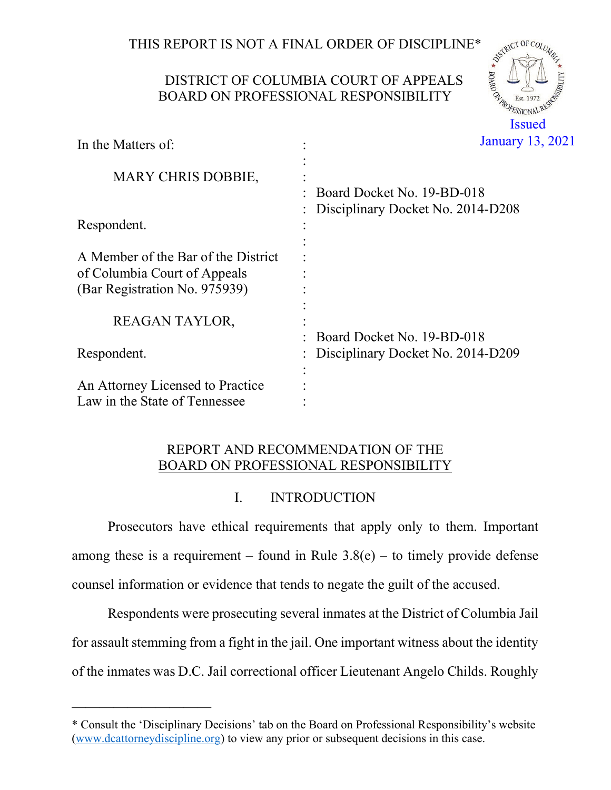THIS REPORT IS NOT A FINAL ORDER OF DISCIPLINE  $\int_{\mathbb{R}^5} \int_{\mathbb{R}^5} \int_{\mathbb{R}^5}$ 

# DISTRICT OF COLUMBIA COURT OF APPEALS BOARD ON PROFESSIONAL RESPONSIBILITY



| In the Matters of:                                                                                   | January 13,                                                     |
|------------------------------------------------------------------------------------------------------|-----------------------------------------------------------------|
| <b>MARY CHRIS DOBBIE,</b>                                                                            | Board Docket No. 19-BD-018                                      |
| Respondent.                                                                                          | Disciplinary Docket No. 2014-D208                               |
| A Member of the Bar of the District<br>of Columbia Court of Appeals<br>(Bar Registration No. 975939) |                                                                 |
| <b>REAGAN TAYLOR,</b>                                                                                |                                                                 |
| Respondent.                                                                                          | Board Docket No. 19-BD-018<br>Disciplinary Docket No. 2014-D209 |
| An Attorney Licensed to Practice<br>Law in the State of Tennessee                                    |                                                                 |

# REPORT AND RECOMMENDATION OF THE BOARD ON PROFESSIONAL RESPONSIBILITY

# I. INTRODUCTION

Prosecutors have ethical requirements that apply only to them. Important among these is a requirement – found in Rule  $3.8(e)$  – to timely provide defense counsel information or evidence that tends to negate the guilt of the accused.

Respondents were prosecuting several inmates at the District of Columbia Jail for assault stemming from a fight in the jail. One important witness about the identity of the inmates was D.C. Jail correctional officer Lieutenant Angelo Childs. Roughly

——————————

<sup>\*</sup> Consult the 'Disciplinary Decisions' tab on the Board on Professional Responsibility's website (www.dcattorneydiscipline.org) to view any prior or subsequent decisions in this case.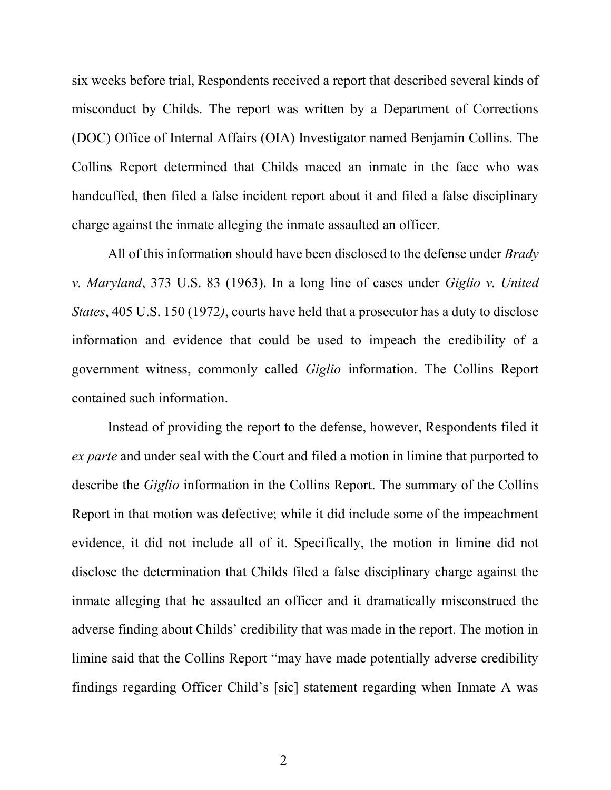six weeks before trial, Respondents received a report that described several kinds of misconduct by Childs. The report was written by a Department of Corrections (DOC) Office of Internal Affairs (OIA) Investigator named Benjamin Collins. The Collins Report determined that Childs maced an inmate in the face who was handcuffed, then filed a false incident report about it and filed a false disciplinary charge against the inmate alleging the inmate assaulted an officer.

All of this information should have been disclosed to the defense under *Brady* v. Maryland, 373 U.S. 83 (1963). In a long line of cases under Giglio v. United States, 405 U.S. 150 (1972), courts have held that a prosecutor has a duty to disclose information and evidence that could be used to impeach the credibility of a government witness, commonly called Giglio information. The Collins Report contained such information.

Instead of providing the report to the defense, however, Respondents filed it ex parte and under seal with the Court and filed a motion in limine that purported to describe the Giglio information in the Collins Report. The summary of the Collins Report in that motion was defective; while it did include some of the impeachment evidence, it did not include all of it. Specifically, the motion in limine did not disclose the determination that Childs filed a false disciplinary charge against the inmate alleging that he assaulted an officer and it dramatically misconstrued the adverse finding about Childs' credibility that was made in the report. The motion in limine said that the Collins Report "may have made potentially adverse credibility findings regarding Officer Child's [sic] statement regarding when Inmate A was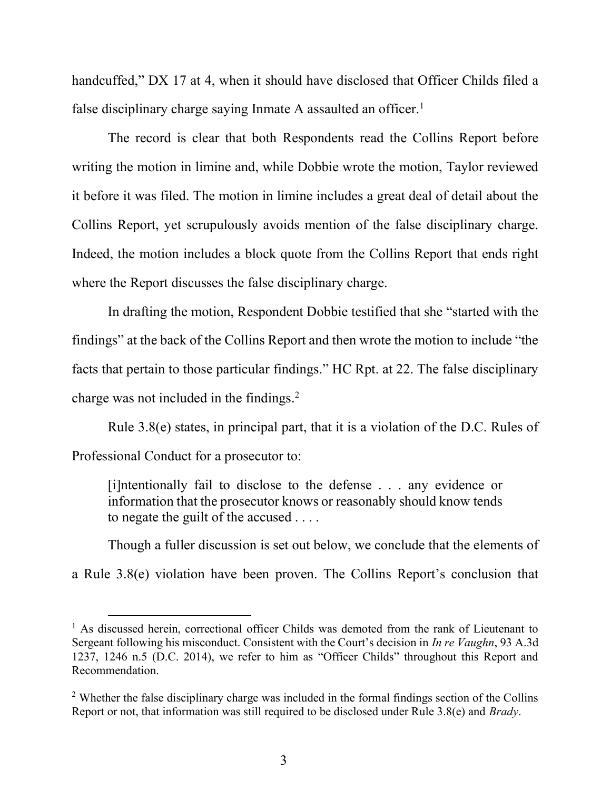handcuffed," DX 17 at 4, when it should have disclosed that Officer Childs filed a false disciplinary charge saying Inmate A assaulted an officer.<sup>1</sup>

The record is clear that both Respondents read the Collins Report before writing the motion in limine and, while Dobbie wrote the motion, Taylor reviewed it before it was filed. The motion in limine includes a great deal of detail about the Collins Report, yet scrupulously avoids mention of the false disciplinary charge. Indeed, the motion includes a block quote from the Collins Report that ends right where the Report discusses the false disciplinary charge.

In drafting the motion, Respondent Dobbie testified that she "started with the findings" at the back of the Collins Report and then wrote the motion to include "the facts that pertain to those particular findings." HC Rpt. at 22. The false disciplinary charge was not included in the findings. $2$ 

Rule 3.8(e) states, in principal part, that it is a violation of the D.C. Rules of Professional Conduct for a prosecutor to:

[i]ntentionally fail to disclose to the defense . . . any evidence or information that the prosecutor knows or reasonably should know tends to negate the guilt of the accused . . . .

Though a fuller discussion is set out below, we conclude that the elements of a Rule 3.8(e) violation have been proven. The Collins Report's conclusion that

<sup>&</sup>lt;sup>1</sup> As discussed herein, correctional officer Childs was demoted from the rank of Lieutenant to Sergeant following his misconduct. Consistent with the Court's decision in In re Vaughn, 93 A.3d 1237, 1246 n.5 (D.C. 2014), we refer to him as "Officer Childs" throughout this Report and Recommendation.

 $2$  Whether the false disciplinary charge was included in the formal findings section of the Collins Report or not, that information was still required to be disclosed under Rule 3.8(e) and *Brady*.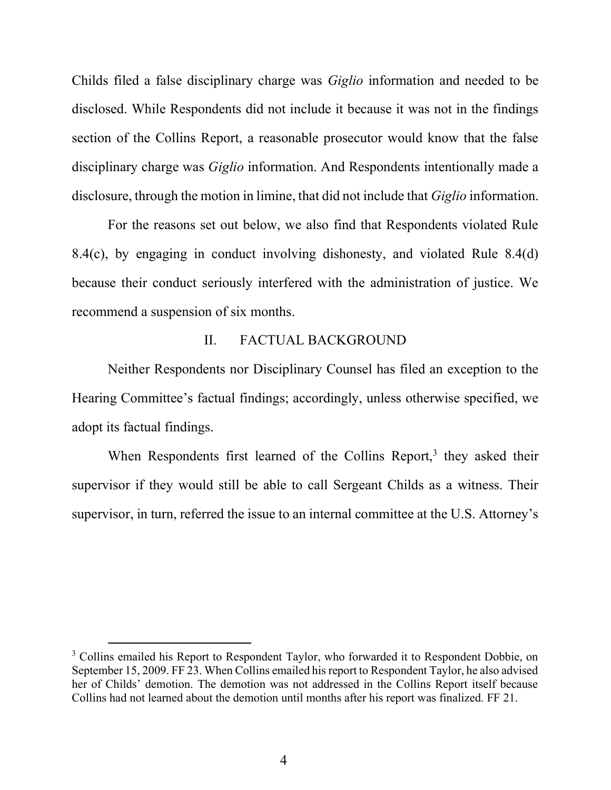Childs filed a false disciplinary charge was Giglio information and needed to be disclosed. While Respondents did not include it because it was not in the findings section of the Collins Report, a reasonable prosecutor would know that the false disciplinary charge was *Giglio* information. And Respondents intentionally made a disclosure, through the motion in limine, that did not include that *Giglio* information.

For the reasons set out below, we also find that Respondents violated Rule 8.4(c), by engaging in conduct involving dishonesty, and violated Rule 8.4(d) because their conduct seriously interfered with the administration of justice. We recommend a suspension of six months.

#### II. FACTUAL BACKGROUND

Neither Respondents nor Disciplinary Counsel has filed an exception to the Hearing Committee's factual findings; accordingly, unless otherwise specified, we adopt its factual findings.

When Respondents first learned of the Collins Report,<sup>3</sup> they asked their supervisor if they would still be able to call Sergeant Childs as a witness. Their supervisor, in turn, referred the issue to an internal committee at the U.S. Attorney's

<sup>&</sup>lt;sup>3</sup> Collins emailed his Report to Respondent Taylor, who forwarded it to Respondent Dobbie, on September 15, 2009. FF 23. When Collins emailed his report to Respondent Taylor, he also advised her of Childs' demotion. The demotion was not addressed in the Collins Report itself because Collins had not learned about the demotion until months after his report was finalized. FF 21.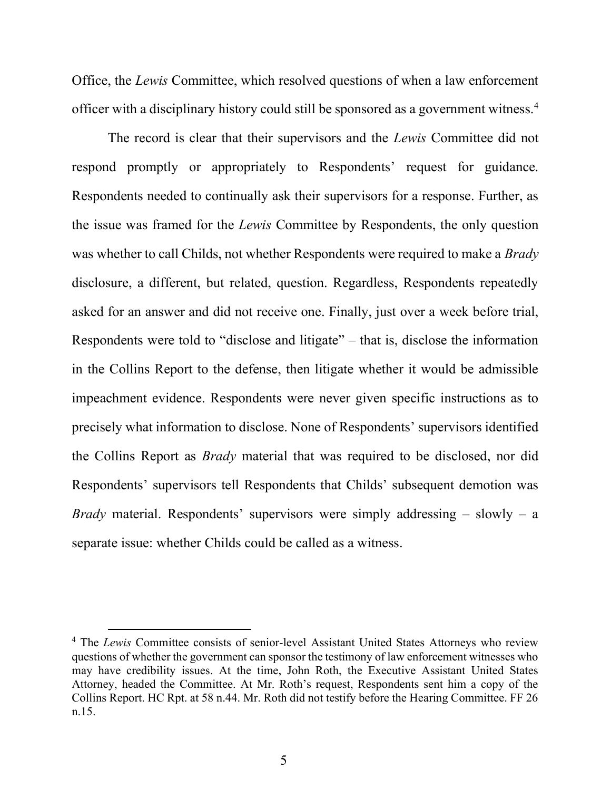Office, the Lewis Committee, which resolved questions of when a law enforcement officer with a disciplinary history could still be sponsored as a government witness.<sup>4</sup>

The record is clear that their supervisors and the *Lewis* Committee did not respond promptly or appropriately to Respondents' request for guidance. Respondents needed to continually ask their supervisors for a response. Further, as the issue was framed for the Lewis Committee by Respondents, the only question was whether to call Childs, not whether Respondents were required to make a *Brady* disclosure, a different, but related, question. Regardless, Respondents repeatedly asked for an answer and did not receive one. Finally, just over a week before trial, Respondents were told to "disclose and litigate" – that is, disclose the information in the Collins Report to the defense, then litigate whether it would be admissible impeachment evidence. Respondents were never given specific instructions as to precisely what information to disclose. None of Respondents' supervisors identified the Collins Report as Brady material that was required to be disclosed, nor did Respondents' supervisors tell Respondents that Childs' subsequent demotion was *Brady* material. Respondents' supervisors were simply addressing  $-$  slowly  $-$  a separate issue: whether Childs could be called as a witness.

<sup>&</sup>lt;sup>4</sup> The Lewis Committee consists of senior-level Assistant United States Attorneys who review questions of whether the government can sponsor the testimony of law enforcement witnesses who may have credibility issues. At the time, John Roth, the Executive Assistant United States Attorney, headed the Committee. At Mr. Roth's request, Respondents sent him a copy of the Collins Report. HC Rpt. at 58 n.44. Mr. Roth did not testify before the Hearing Committee. FF 26 n.15.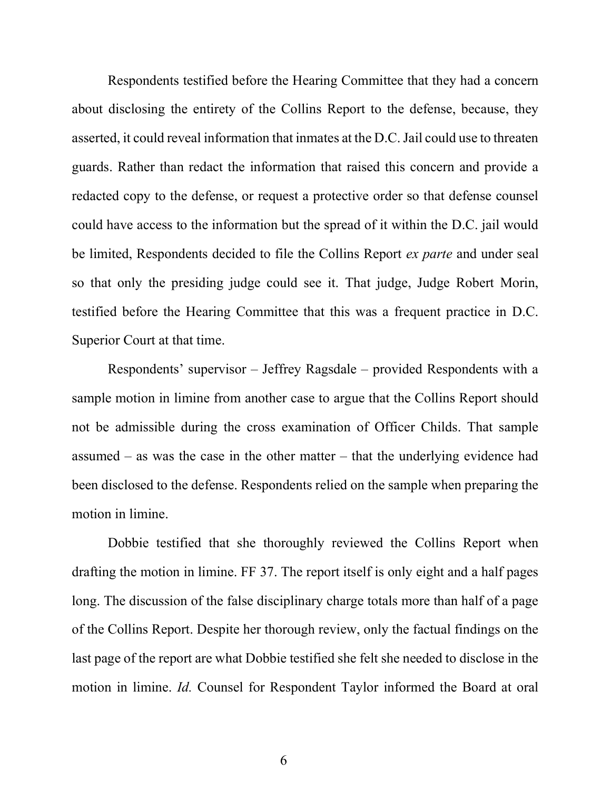Respondents testified before the Hearing Committee that they had a concern about disclosing the entirety of the Collins Report to the defense, because, they asserted, it could reveal information that inmates at the D.C. Jail could use to threaten guards. Rather than redact the information that raised this concern and provide a redacted copy to the defense, or request a protective order so that defense counsel could have access to the information but the spread of it within the D.C. jail would be limited, Respondents decided to file the Collins Report *ex parte* and under seal so that only the presiding judge could see it. That judge, Judge Robert Morin, testified before the Hearing Committee that this was a frequent practice in D.C. Superior Court at that time.

Respondents' supervisor – Jeffrey Ragsdale – provided Respondents with a sample motion in limine from another case to argue that the Collins Report should not be admissible during the cross examination of Officer Childs. That sample assumed – as was the case in the other matter – that the underlying evidence had been disclosed to the defense. Respondents relied on the sample when preparing the motion in limine.

Dobbie testified that she thoroughly reviewed the Collins Report when drafting the motion in limine. FF 37. The report itself is only eight and a half pages long. The discussion of the false disciplinary charge totals more than half of a page of the Collins Report. Despite her thorough review, only the factual findings on the last page of the report are what Dobbie testified she felt she needed to disclose in the motion in limine. Id. Counsel for Respondent Taylor informed the Board at oral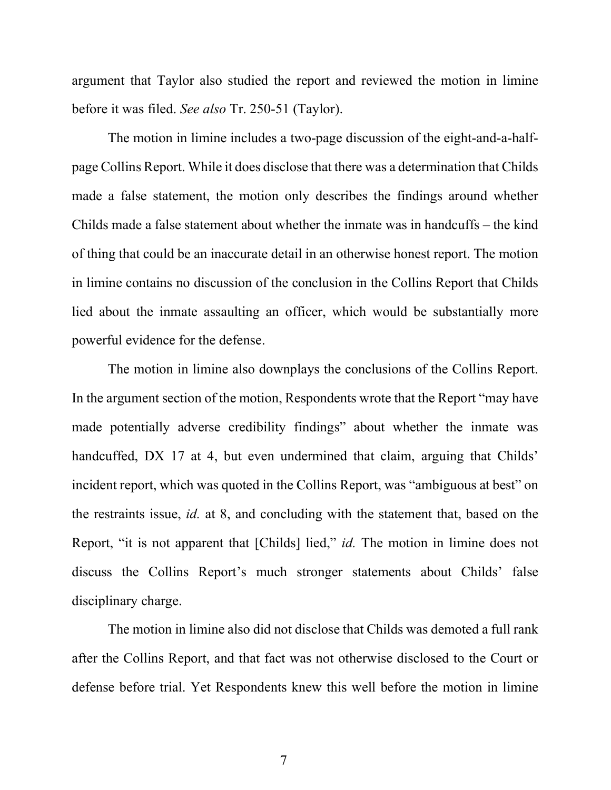argument that Taylor also studied the report and reviewed the motion in limine before it was filed. See also Tr. 250-51 (Taylor).

The motion in limine includes a two-page discussion of the eight-and-a-halfpage Collins Report. While it does disclose that there was a determination that Childs made a false statement, the motion only describes the findings around whether Childs made a false statement about whether the inmate was in handcuffs – the kind of thing that could be an inaccurate detail in an otherwise honest report. The motion in limine contains no discussion of the conclusion in the Collins Report that Childs lied about the inmate assaulting an officer, which would be substantially more powerful evidence for the defense.

The motion in limine also downplays the conclusions of the Collins Report. In the argument section of the motion, Respondents wrote that the Report "may have made potentially adverse credibility findings" about whether the inmate was handcuffed, DX 17 at 4, but even undermined that claim, arguing that Childs' incident report, which was quoted in the Collins Report, was "ambiguous at best" on the restraints issue, id. at 8, and concluding with the statement that, based on the Report, "it is not apparent that [Childs] lied," *id*. The motion in limine does not discuss the Collins Report's much stronger statements about Childs' false disciplinary charge.

The motion in limine also did not disclose that Childs was demoted a full rank after the Collins Report, and that fact was not otherwise disclosed to the Court or defense before trial. Yet Respondents knew this well before the motion in limine

7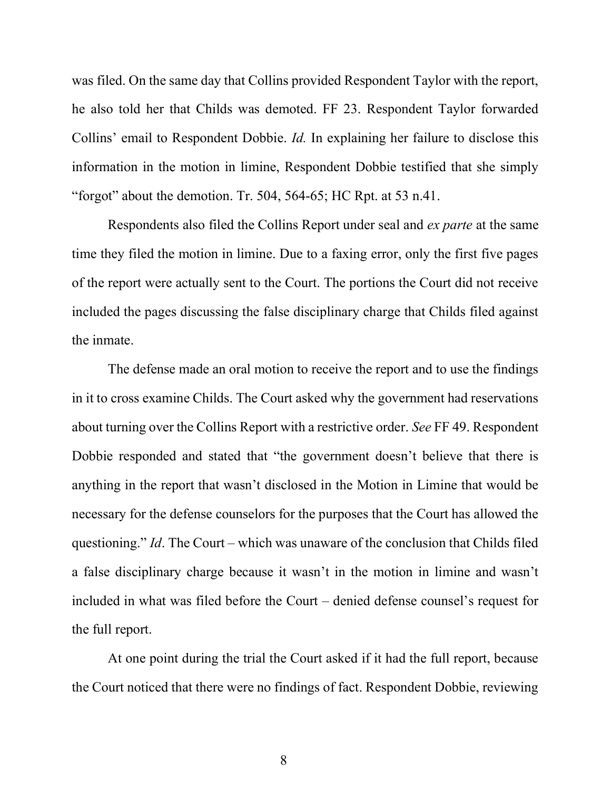was filed. On the same day that Collins provided Respondent Taylor with the report, he also told her that Childs was demoted. FF 23. Respondent Taylor forwarded Collins' email to Respondent Dobbie. Id. In explaining her failure to disclose this information in the motion in limine, Respondent Dobbie testified that she simply "forgot" about the demotion. Tr. 504, 564-65; HC Rpt. at 53 n.41.

Respondents also filed the Collins Report under seal and ex parte at the same time they filed the motion in limine. Due to a faxing error, only the first five pages of the report were actually sent to the Court. The portions the Court did not receive included the pages discussing the false disciplinary charge that Childs filed against the inmate.

The defense made an oral motion to receive the report and to use the findings in it to cross examine Childs. The Court asked why the government had reservations about turning over the Collins Report with a restrictive order. See FF 49. Respondent Dobbie responded and stated that "the government doesn't believe that there is anything in the report that wasn't disclosed in the Motion in Limine that would be necessary for the defense counselors for the purposes that the Court has allowed the questioning." Id. The Court – which was unaware of the conclusion that Childs filed a false disciplinary charge because it wasn't in the motion in limine and wasn't included in what was filed before the Court – denied defense counsel's request for the full report.

At one point during the trial the Court asked if it had the full report, because the Court noticed that there were no findings of fact. Respondent Dobbie, reviewing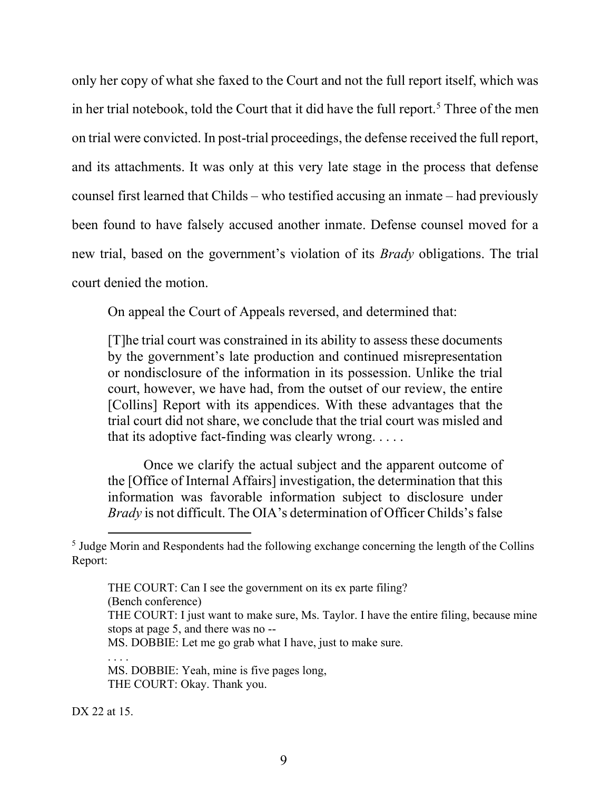only her copy of what she faxed to the Court and not the full report itself, which was in her trial notebook, told the Court that it did have the full report.<sup>5</sup> Three of the men on trial were convicted. In post-trial proceedings, the defense received the full report, and its attachments. It was only at this very late stage in the process that defense counsel first learned that Childs – who testified accusing an inmate – had previously been found to have falsely accused another inmate. Defense counsel moved for a new trial, based on the government's violation of its Brady obligations. The trial court denied the motion.

On appeal the Court of Appeals reversed, and determined that:

[T]he trial court was constrained in its ability to assess these documents by the government's late production and continued misrepresentation or nondisclosure of the information in its possession. Unlike the trial court, however, we have had, from the outset of our review, the entire [Collins] Report with its appendices. With these advantages that the trial court did not share, we conclude that the trial court was misled and that its adoptive fact-finding was clearly wrong. . . . .

Once we clarify the actual subject and the apparent outcome of the [Office of Internal Affairs] investigation, the determination that this information was favorable information subject to disclosure under Brady is not difficult. The OIA's determination of Officer Childs's false

THE COURT: Can I see the government on its ex parte filing?

(Bench conference)

THE COURT: I just want to make sure, Ms. Taylor. I have the entire filing, because mine stops at page 5, and there was no --

MS. DOBBIE: Let me go grab what I have, just to make sure.

. . . .

DX 22 at 15.

<sup>&</sup>lt;sup>5</sup> Judge Morin and Respondents had the following exchange concerning the length of the Collins Report:

MS. DOBBIE: Yeah, mine is five pages long, THE COURT: Okay. Thank you.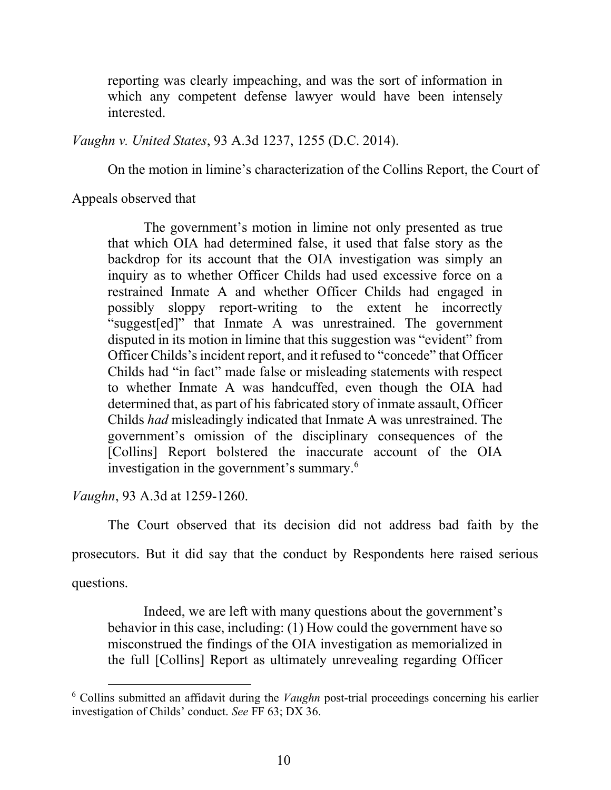reporting was clearly impeaching, and was the sort of information in which any competent defense lawyer would have been intensely interested.

Vaughn v. United States, 93 A.3d 1237, 1255 (D.C. 2014).

On the motion in limine's characterization of the Collins Report, the Court of

Appeals observed that

The government's motion in limine not only presented as true that which OIA had determined false, it used that false story as the backdrop for its account that the OIA investigation was simply an inquiry as to whether Officer Childs had used excessive force on a restrained Inmate A and whether Officer Childs had engaged in possibly sloppy report-writing to the extent he incorrectly "suggest[ed]" that Inmate A was unrestrained. The government disputed in its motion in limine that this suggestion was "evident" from Officer Childs's incident report, and it refused to "concede" that Officer Childs had "in fact" made false or misleading statements with respect to whether Inmate A was handcuffed, even though the OIA had determined that, as part of his fabricated story of inmate assault, Officer Childs had misleadingly indicated that Inmate A was unrestrained. The government's omission of the disciplinary consequences of the [Collins] Report bolstered the inaccurate account of the OIA investigation in the government's summary.<sup>6</sup>

Vaughn, 93 A.3d at 1259-1260.

The Court observed that its decision did not address bad faith by the

prosecutors. But it did say that the conduct by Respondents here raised serious

questions.

Indeed, we are left with many questions about the government's behavior in this case, including: (1) How could the government have so misconstrued the findings of the OIA investigation as memorialized in the full [Collins] Report as ultimately unrevealing regarding Officer

 $6$  Collins submitted an affidavit during the *Vaughn* post-trial proceedings concerning his earlier investigation of Childs' conduct. See FF 63; DX 36.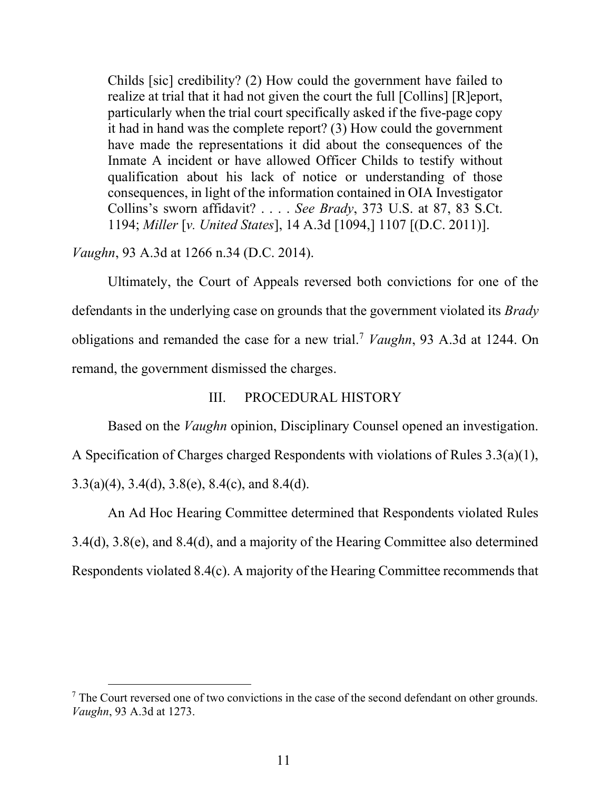Childs [sic] credibility? (2) How could the government have failed to realize at trial that it had not given the court the full [Collins] [R]eport, particularly when the trial court specifically asked if the five-page copy it had in hand was the complete report? (3) How could the government have made the representations it did about the consequences of the Inmate A incident or have allowed Officer Childs to testify without qualification about his lack of notice or understanding of those consequences, in light of the information contained in OIA Investigator Collins's sworn affidavit? . . . . See Brady, 373 U.S. at 87, 83 S.Ct. 1194; Miller [v. United States], 14 A.3d [1094,] 1107 [(D.C. 2011)].

## Vaughn, 93 A.3d at 1266 n.34 (D.C. 2014).

Ultimately, the Court of Appeals reversed both convictions for one of the defendants in the underlying case on grounds that the government violated its *Brady* obligations and remanded the case for a new trial.<sup>7</sup> Vaughn, 93 A.3d at 1244. On remand, the government dismissed the charges.

## III. PROCEDURAL HISTORY

Based on the *Vaughn* opinion, Disciplinary Counsel opened an investigation. A Specification of Charges charged Respondents with violations of Rules 3.3(a)(1), 3.3(a)(4), 3.4(d), 3.8(e), 8.4(c), and 8.4(d).

An Ad Hoc Hearing Committee determined that Respondents violated Rules 3.4(d), 3.8(e), and 8.4(d), and a majority of the Hearing Committee also determined Respondents violated 8.4(c). A majority of the Hearing Committee recommends that

 $<sup>7</sup>$  The Court reversed one of two convictions in the case of the second defendant on other grounds.</sup> Vaughn, 93 A.3d at 1273.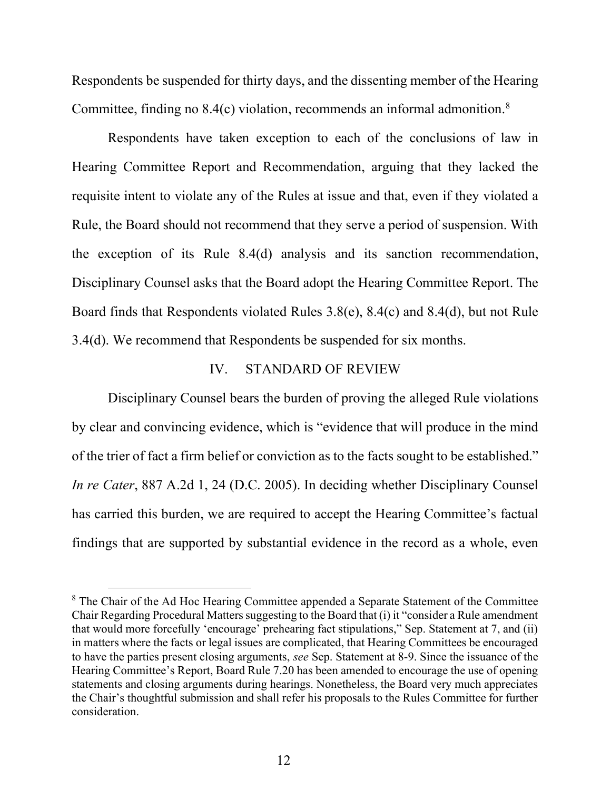Respondents be suspended for thirty days, and the dissenting member of the Hearing Committee, finding no 8.4(c) violation, recommends an informal admonition.<sup>8</sup>

Respondents have taken exception to each of the conclusions of law in Hearing Committee Report and Recommendation, arguing that they lacked the requisite intent to violate any of the Rules at issue and that, even if they violated a Rule, the Board should not recommend that they serve a period of suspension. With the exception of its Rule 8.4(d) analysis and its sanction recommendation, Disciplinary Counsel asks that the Board adopt the Hearing Committee Report. The Board finds that Respondents violated Rules 3.8(e), 8.4(c) and 8.4(d), but not Rule 3.4(d). We recommend that Respondents be suspended for six months.

## IV. STANDARD OF REVIEW

 Disciplinary Counsel bears the burden of proving the alleged Rule violations by clear and convincing evidence, which is "evidence that will produce in the mind of the trier of fact a firm belief or conviction as to the facts sought to be established." In re Cater, 887 A.2d 1, 24 (D.C. 2005). In deciding whether Disciplinary Counsel has carried this burden, we are required to accept the Hearing Committee's factual findings that are supported by substantial evidence in the record as a whole, even

 $8$  The Chair of the Ad Hoc Hearing Committee appended a Separate Statement of the Committee Chair Regarding Procedural Matters suggesting to the Board that (i) it "consider a Rule amendment that would more forcefully 'encourage' prehearing fact stipulations," Sep. Statement at 7, and (ii) in matters where the facts or legal issues are complicated, that Hearing Committees be encouraged to have the parties present closing arguments, see Sep. Statement at 8-9. Since the issuance of the Hearing Committee's Report, Board Rule 7.20 has been amended to encourage the use of opening statements and closing arguments during hearings. Nonetheless, the Board very much appreciates the Chair's thoughtful submission and shall refer his proposals to the Rules Committee for further consideration.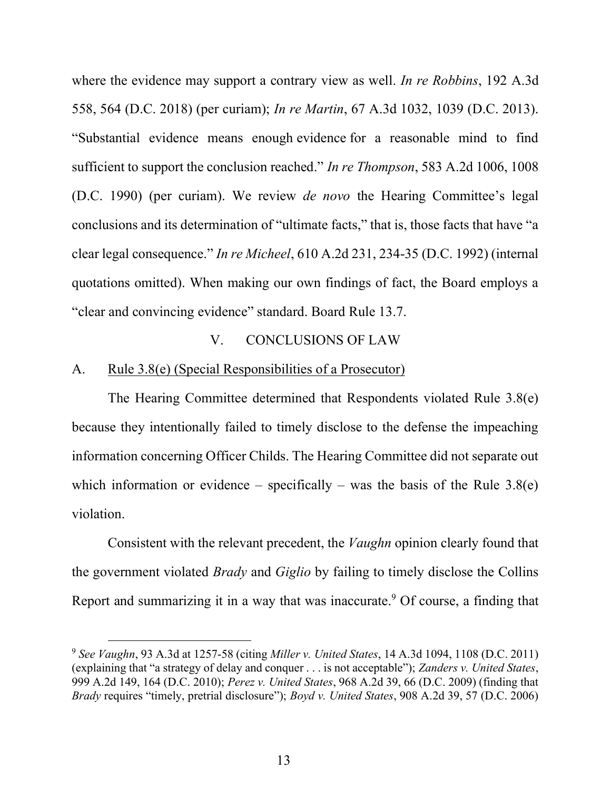where the evidence may support a contrary view as well. In re Robbins, 192 A.3d 558, 564 (D.C. 2018) (per curiam); In re Martin, 67 A.3d 1032, 1039 (D.C. 2013). "Substantial evidence means enough evidence for a reasonable mind to find sufficient to support the conclusion reached." In re Thompson, 583 A.2d 1006, 1008 (D.C. 1990) (per curiam). We review de novo the Hearing Committee's legal conclusions and its determination of "ultimate facts," that is, those facts that have "a clear legal consequence." In re Micheel, 610 A.2d 231, 234-35 (D.C. 1992) (internal quotations omitted). When making our own findings of fact, the Board employs a "clear and convincing evidence" standard. Board Rule 13.7.

## V. CONCLUSIONS OF LAW

#### A. Rule 3.8(e) (Special Responsibilities of a Prosecutor)

The Hearing Committee determined that Respondents violated Rule 3.8(e) because they intentionally failed to timely disclose to the defense the impeaching information concerning Officer Childs. The Hearing Committee did not separate out which information or evidence – specifically – was the basis of the Rule  $3.8(e)$ violation.

Consistent with the relevant precedent, the *Vaughn* opinion clearly found that the government violated *Brady* and *Giglio* by failing to timely disclose the Collins Report and summarizing it in a way that was inaccurate.<sup>9</sup> Of course, a finding that

 $9$  See Vaughn, 93 A.3d at 1257-58 (citing *Miller v. United States*, 14 A.3d 1094, 1108 (D.C. 2011) (explaining that "a strategy of delay and conquer . . . is not acceptable"); Zanders v. United States, 999 A.2d 149, 164 (D.C. 2010); Perez v. United States, 968 A.2d 39, 66 (D.C. 2009) (finding that Brady requires "timely, pretrial disclosure"); Boyd v. United States, 908 A.2d 39, 57 (D.C. 2006)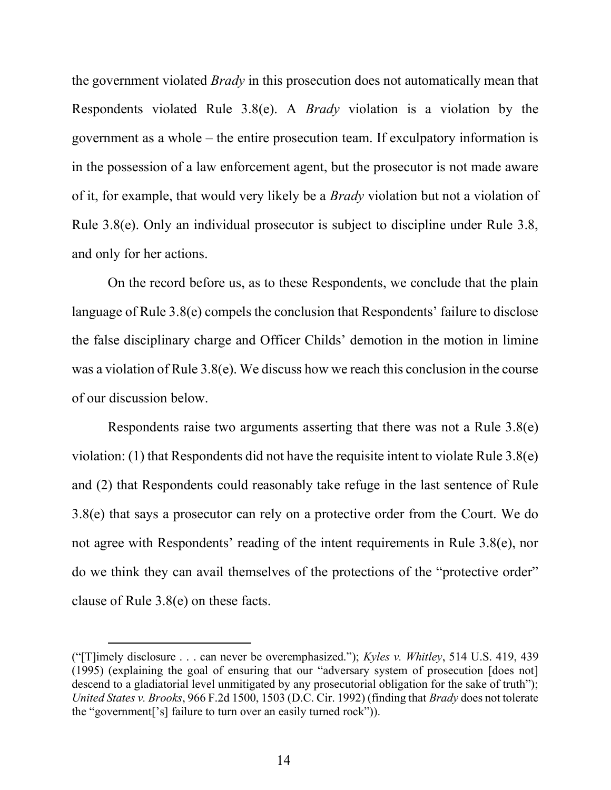the government violated *Brady* in this prosecution does not automatically mean that Respondents violated Rule 3.8(e). A Brady violation is a violation by the government as a whole – the entire prosecution team. If exculpatory information is in the possession of a law enforcement agent, but the prosecutor is not made aware of it, for example, that would very likely be a *Brady* violation but not a violation of Rule 3.8(e). Only an individual prosecutor is subject to discipline under Rule 3.8, and only for her actions.

 On the record before us, as to these Respondents, we conclude that the plain language of Rule 3.8(e) compels the conclusion that Respondents' failure to disclose the false disciplinary charge and Officer Childs' demotion in the motion in limine was a violation of Rule 3.8(e). We discuss how we reach this conclusion in the course of our discussion below.

Respondents raise two arguments asserting that there was not a Rule 3.8(e) violation: (1) that Respondents did not have the requisite intent to violate Rule 3.8(e) and (2) that Respondents could reasonably take refuge in the last sentence of Rule 3.8(e) that says a prosecutor can rely on a protective order from the Court. We do not agree with Respondents' reading of the intent requirements in Rule 3.8(e), nor do we think they can avail themselves of the protections of the "protective order" clause of Rule 3.8(e) on these facts.

<sup>(&</sup>quot;[T]imely disclosure . . . can never be overemphasized."); Kyles v. Whitley, 514 U.S. 419, 439 (1995) (explaining the goal of ensuring that our "adversary system of prosecution [does not] descend to a gladiatorial level unmitigated by any prosecutorial obligation for the sake of truth"); United States v. Brooks, 966 F.2d 1500, 1503 (D.C. Cir. 1992) (finding that Brady does not tolerate the "government['s] failure to turn over an easily turned rock")).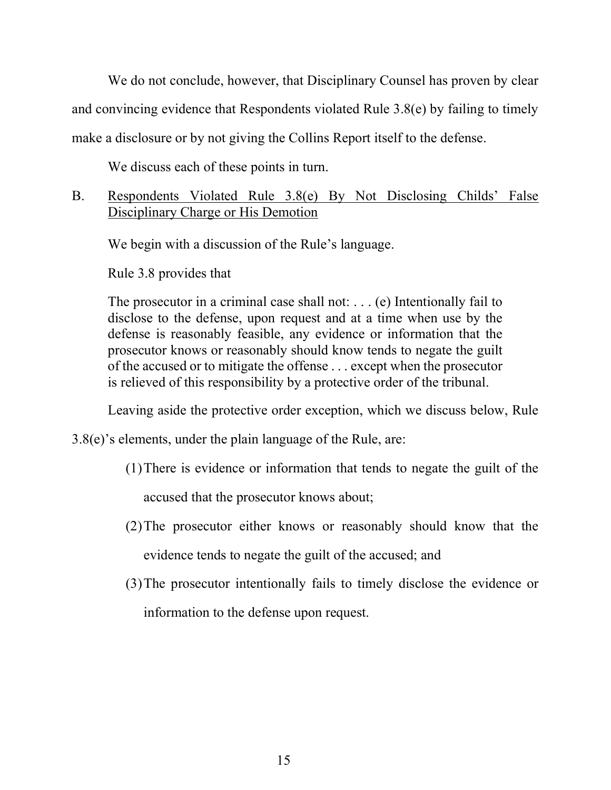We do not conclude, however, that Disciplinary Counsel has proven by clear and convincing evidence that Respondents violated Rule 3.8(e) by failing to timely make a disclosure or by not giving the Collins Report itself to the defense.

We discuss each of these points in turn.

# B. Respondents Violated Rule 3.8(e) By Not Disclosing Childs' False Disciplinary Charge or His Demotion

We begin with a discussion of the Rule's language.

Rule 3.8 provides that

The prosecutor in a criminal case shall not: . . . (e) Intentionally fail to disclose to the defense, upon request and at a time when use by the defense is reasonably feasible, any evidence or information that the prosecutor knows or reasonably should know tends to negate the guilt of the accused or to mitigate the offense . . . except when the prosecutor is relieved of this responsibility by a protective order of the tribunal.

Leaving aside the protective order exception, which we discuss below, Rule

3.8(e)'s elements, under the plain language of the Rule, are:

- (1)There is evidence or information that tends to negate the guilt of the accused that the prosecutor knows about;
- (2)The prosecutor either knows or reasonably should know that the evidence tends to negate the guilt of the accused; and
- (3)The prosecutor intentionally fails to timely disclose the evidence or information to the defense upon request.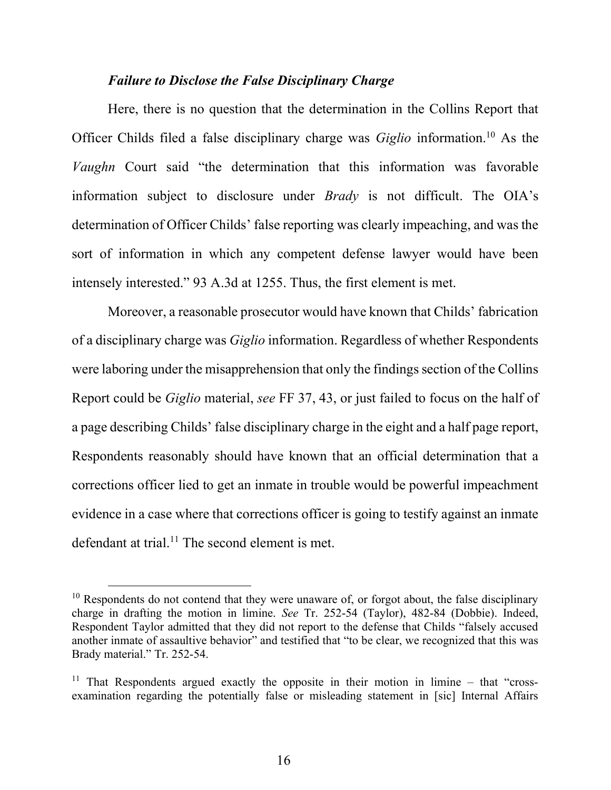#### Failure to Disclose the False Disciplinary Charge

Here, there is no question that the determination in the Collins Report that Officer Childs filed a false disciplinary charge was *Giglio* information.<sup>10</sup> As the Vaughn Court said "the determination that this information was favorable information subject to disclosure under Brady is not difficult. The OIA's determination of Officer Childs' false reporting was clearly impeaching, and was the sort of information in which any competent defense lawyer would have been intensely interested." 93 A.3d at 1255. Thus, the first element is met.

Moreover, a reasonable prosecutor would have known that Childs' fabrication of a disciplinary charge was Giglio information. Regardless of whether Respondents were laboring under the misapprehension that only the findings section of the Collins Report could be Giglio material, see FF 37, 43, or just failed to focus on the half of a page describing Childs' false disciplinary charge in the eight and a half page report, Respondents reasonably should have known that an official determination that a corrections officer lied to get an inmate in trouble would be powerful impeachment evidence in a case where that corrections officer is going to testify against an inmate defendant at trial.<sup>11</sup> The second element is met.

 $10$  Respondents do not contend that they were unaware of, or forgot about, the false disciplinary charge in drafting the motion in limine. See Tr. 252-54 (Taylor), 482-84 (Dobbie). Indeed, Respondent Taylor admitted that they did not report to the defense that Childs "falsely accused another inmate of assaultive behavior" and testified that "to be clear, we recognized that this was Brady material." Tr. 252-54.

<sup>&</sup>lt;sup>11</sup> That Respondents argued exactly the opposite in their motion in limine – that "crossexamination regarding the potentially false or misleading statement in [sic] Internal Affairs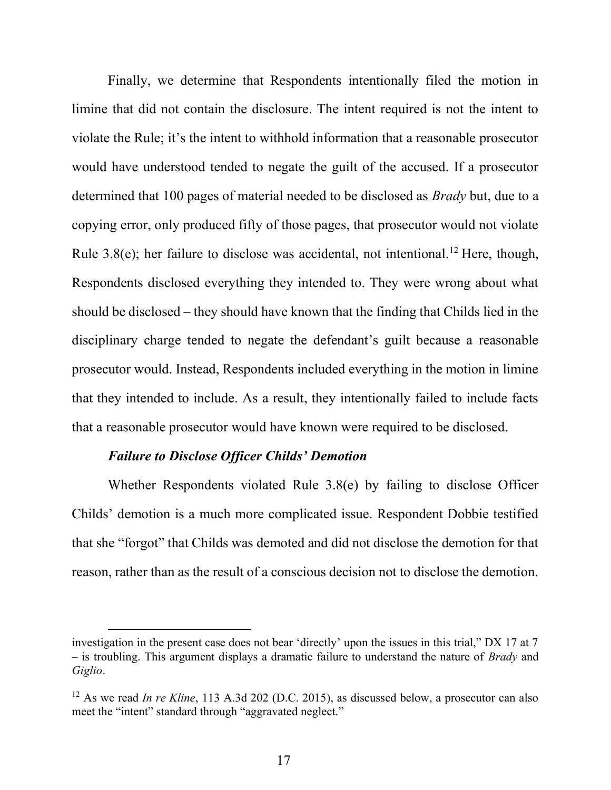Finally, we determine that Respondents intentionally filed the motion in limine that did not contain the disclosure. The intent required is not the intent to violate the Rule; it's the intent to withhold information that a reasonable prosecutor would have understood tended to negate the guilt of the accused. If a prosecutor determined that 100 pages of material needed to be disclosed as *Brady* but, due to a copying error, only produced fifty of those pages, that prosecutor would not violate Rule 3.8(e); her failure to disclose was accidental, not intentional.<sup>12</sup> Here, though, Respondents disclosed everything they intended to. They were wrong about what should be disclosed – they should have known that the finding that Childs lied in the disciplinary charge tended to negate the defendant's guilt because a reasonable prosecutor would. Instead, Respondents included everything in the motion in limine that they intended to include. As a result, they intentionally failed to include facts that a reasonable prosecutor would have known were required to be disclosed.

### Failure to Disclose Officer Childs' Demotion

Whether Respondents violated Rule 3.8(e) by failing to disclose Officer Childs' demotion is a much more complicated issue. Respondent Dobbie testified that she "forgot" that Childs was demoted and did not disclose the demotion for that reason, rather than as the result of a conscious decision not to disclose the demotion.

investigation in the present case does not bear 'directly' upon the issues in this trial," DX 17 at 7 – is troubling. This argument displays a dramatic failure to understand the nature of *Brady* and Giglio.

<sup>&</sup>lt;sup>12</sup> As we read *In re Kline*, 113 A.3d 202 (D.C. 2015), as discussed below, a prosecutor can also meet the "intent" standard through "aggravated neglect."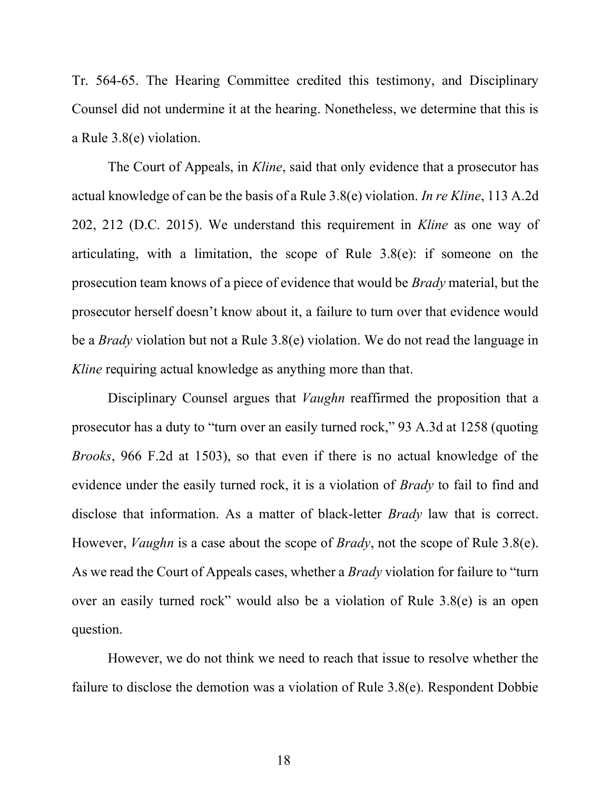Tr. 564-65. The Hearing Committee credited this testimony, and Disciplinary Counsel did not undermine it at the hearing. Nonetheless, we determine that this is a Rule 3.8(e) violation.

The Court of Appeals, in *Kline*, said that only evidence that a prosecutor has actual knowledge of can be the basis of a Rule 3.8(e) violation. In re Kline, 113 A.2d 202, 212 (D.C. 2015). We understand this requirement in Kline as one way of articulating, with a limitation, the scope of Rule 3.8(e): if someone on the prosecution team knows of a piece of evidence that would be Brady material, but the prosecutor herself doesn't know about it, a failure to turn over that evidence would be a Brady violation but not a Rule 3.8(e) violation. We do not read the language in Kline requiring actual knowledge as anything more than that.

Disciplinary Counsel argues that *Vaughn* reaffirmed the proposition that a prosecutor has a duty to "turn over an easily turned rock," 93 A.3d at 1258 (quoting Brooks, 966 F.2d at 1503), so that even if there is no actual knowledge of the evidence under the easily turned rock, it is a violation of *Brady* to fail to find and disclose that information. As a matter of black-letter *Brady* law that is correct. However, *Vaughn* is a case about the scope of *Brady*, not the scope of Rule 3.8(e). As we read the Court of Appeals cases, whether a *Brady* violation for failure to "turn over an easily turned rock" would also be a violation of Rule 3.8(e) is an open question.

However, we do not think we need to reach that issue to resolve whether the failure to disclose the demotion was a violation of Rule 3.8(e). Respondent Dobbie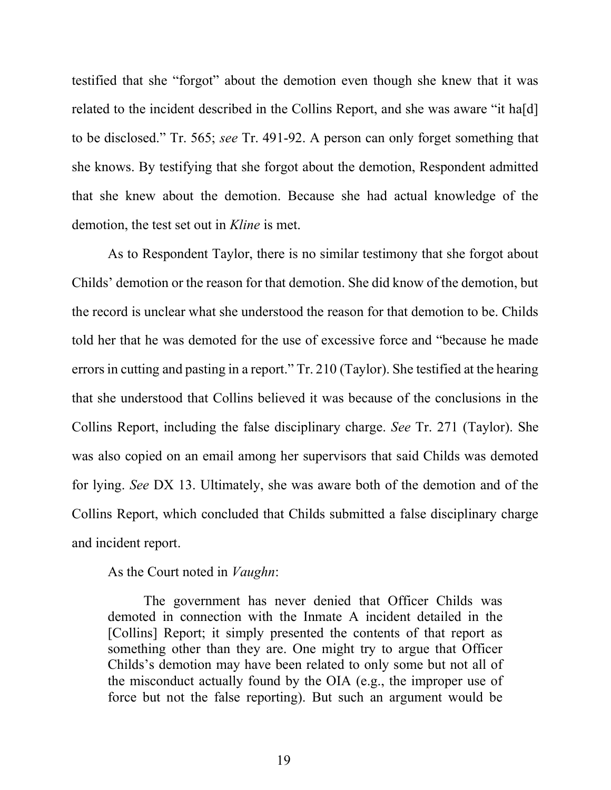testified that she "forgot" about the demotion even though she knew that it was related to the incident described in the Collins Report, and she was aware "it ha[d] to be disclosed." Tr. 565; see Tr. 491-92. A person can only forget something that she knows. By testifying that she forgot about the demotion, Respondent admitted that she knew about the demotion. Because she had actual knowledge of the demotion, the test set out in *Kline* is met.

As to Respondent Taylor, there is no similar testimony that she forgot about Childs' demotion or the reason for that demotion. She did know of the demotion, but the record is unclear what she understood the reason for that demotion to be. Childs told her that he was demoted for the use of excessive force and "because he made errors in cutting and pasting in a report." Tr. 210 (Taylor). She testified at the hearing that she understood that Collins believed it was because of the conclusions in the Collins Report, including the false disciplinary charge. See Tr. 271 (Taylor). She was also copied on an email among her supervisors that said Childs was demoted for lying. See DX 13. Ultimately, she was aware both of the demotion and of the Collins Report, which concluded that Childs submitted a false disciplinary charge and incident report.

#### As the Court noted in Vaughn:

The government has never denied that Officer Childs was demoted in connection with the Inmate A incident detailed in the [Collins] Report; it simply presented the contents of that report as something other than they are. One might try to argue that Officer Childs's demotion may have been related to only some but not all of the misconduct actually found by the OIA (e.g., the improper use of force but not the false reporting). But such an argument would be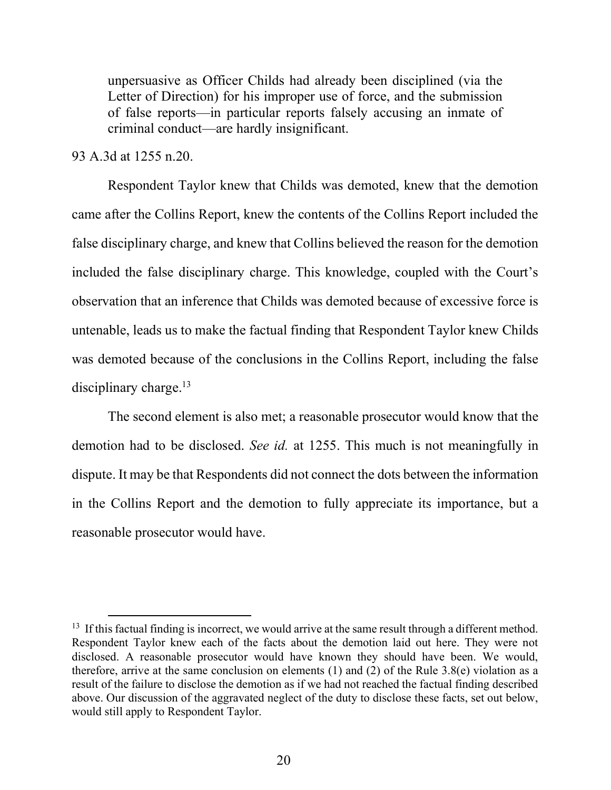unpersuasive as Officer Childs had already been disciplined (via the Letter of Direction) for his improper use of force, and the submission of false reports—in particular reports falsely accusing an inmate of criminal conduct—are hardly insignificant.

### 93 A.3d at 1255 n.20.

Respondent Taylor knew that Childs was demoted, knew that the demotion came after the Collins Report, knew the contents of the Collins Report included the false disciplinary charge, and knew that Collins believed the reason for the demotion included the false disciplinary charge. This knowledge, coupled with the Court's observation that an inference that Childs was demoted because of excessive force is untenable, leads us to make the factual finding that Respondent Taylor knew Childs was demoted because of the conclusions in the Collins Report, including the false disciplinary charge. $13$ 

The second element is also met; a reasonable prosecutor would know that the demotion had to be disclosed. See id. at 1255. This much is not meaningfully in dispute. It may be that Respondents did not connect the dots between the information in the Collins Report and the demotion to fully appreciate its importance, but a reasonable prosecutor would have.

 $13$  If this factual finding is incorrect, we would arrive at the same result through a different method. Respondent Taylor knew each of the facts about the demotion laid out here. They were not disclosed. A reasonable prosecutor would have known they should have been. We would, therefore, arrive at the same conclusion on elements (1) and (2) of the Rule 3.8(e) violation as a result of the failure to disclose the demotion as if we had not reached the factual finding described above. Our discussion of the aggravated neglect of the duty to disclose these facts, set out below, would still apply to Respondent Taylor.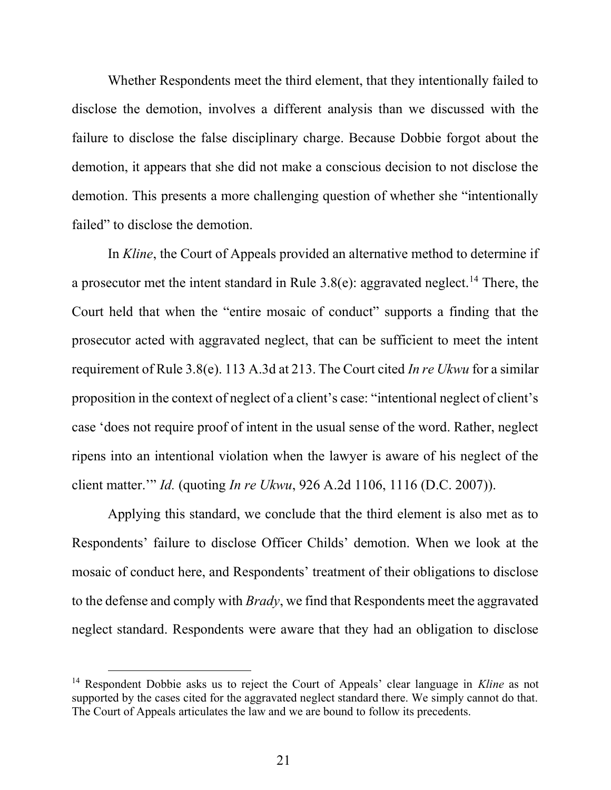Whether Respondents meet the third element, that they intentionally failed to disclose the demotion, involves a different analysis than we discussed with the failure to disclose the false disciplinary charge. Because Dobbie forgot about the demotion, it appears that she did not make a conscious decision to not disclose the demotion. This presents a more challenging question of whether she "intentionally failed" to disclose the demotion.

In Kline, the Court of Appeals provided an alternative method to determine if a prosecutor met the intent standard in Rule  $3.8(e)$ : aggravated neglect.<sup>14</sup> There, the Court held that when the "entire mosaic of conduct" supports a finding that the prosecutor acted with aggravated neglect, that can be sufficient to meet the intent requirement of Rule 3.8(e). 113 A.3d at 213. The Court cited In re Ukwu for a similar proposition in the context of neglect of a client's case: "intentional neglect of client's case 'does not require proof of intent in the usual sense of the word. Rather, neglect ripens into an intentional violation when the lawyer is aware of his neglect of the client matter.'" Id. (quoting In re Ukwu, 926 A.2d 1106, 1116 (D.C. 2007)).

Applying this standard, we conclude that the third element is also met as to Respondents' failure to disclose Officer Childs' demotion. When we look at the mosaic of conduct here, and Respondents' treatment of their obligations to disclose to the defense and comply with Brady, we find that Respondents meet the aggravated neglect standard. Respondents were aware that they had an obligation to disclose

<sup>&</sup>lt;sup>14</sup> Respondent Dobbie asks us to reject the Court of Appeals' clear language in Kline as not supported by the cases cited for the aggravated neglect standard there. We simply cannot do that. The Court of Appeals articulates the law and we are bound to follow its precedents.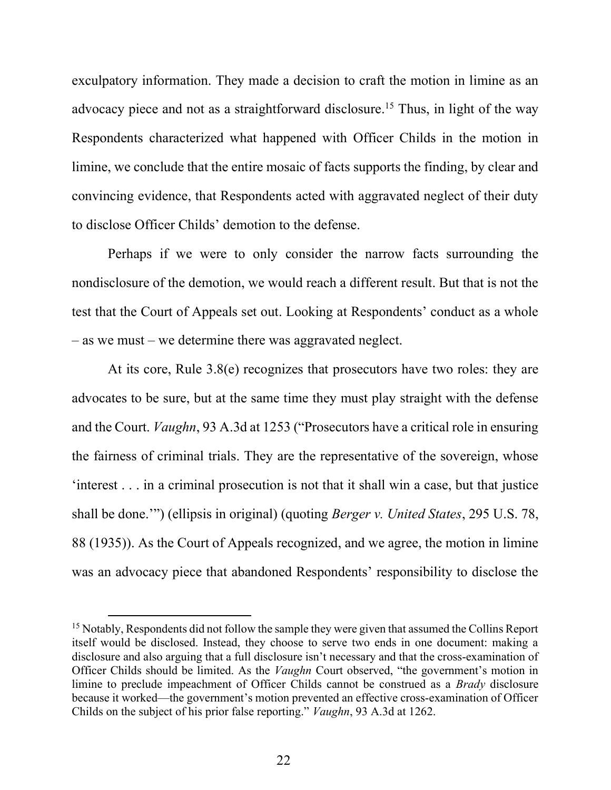exculpatory information. They made a decision to craft the motion in limine as an advocacy piece and not as a straightforward disclosure.<sup>15</sup> Thus, in light of the way Respondents characterized what happened with Officer Childs in the motion in limine, we conclude that the entire mosaic of facts supports the finding, by clear and convincing evidence, that Respondents acted with aggravated neglect of their duty to disclose Officer Childs' demotion to the defense.

Perhaps if we were to only consider the narrow facts surrounding the nondisclosure of the demotion, we would reach a different result. But that is not the test that the Court of Appeals set out. Looking at Respondents' conduct as a whole – as we must – we determine there was aggravated neglect.

At its core, Rule 3.8(e) recognizes that prosecutors have two roles: they are advocates to be sure, but at the same time they must play straight with the defense and the Court. Vaughn, 93 A.3d at 1253 ("Prosecutors have a critical role in ensuring the fairness of criminal trials. They are the representative of the sovereign, whose 'interest . . . in a criminal prosecution is not that it shall win a case, but that justice shall be done."") (ellipsis in original) (quoting *Berger v. United States*, 295 U.S. 78, 88 (1935)). As the Court of Appeals recognized, and we agree, the motion in limine was an advocacy piece that abandoned Respondents' responsibility to disclose the

<sup>&</sup>lt;sup>15</sup> Notably, Respondents did not follow the sample they were given that assumed the Collins Report itself would be disclosed. Instead, they choose to serve two ends in one document: making a disclosure and also arguing that a full disclosure isn't necessary and that the cross-examination of Officer Childs should be limited. As the Vaughn Court observed, "the government's motion in limine to preclude impeachment of Officer Childs cannot be construed as a Brady disclosure because it worked—the government's motion prevented an effective cross-examination of Officer Childs on the subject of his prior false reporting." Vaughn, 93 A.3d at 1262.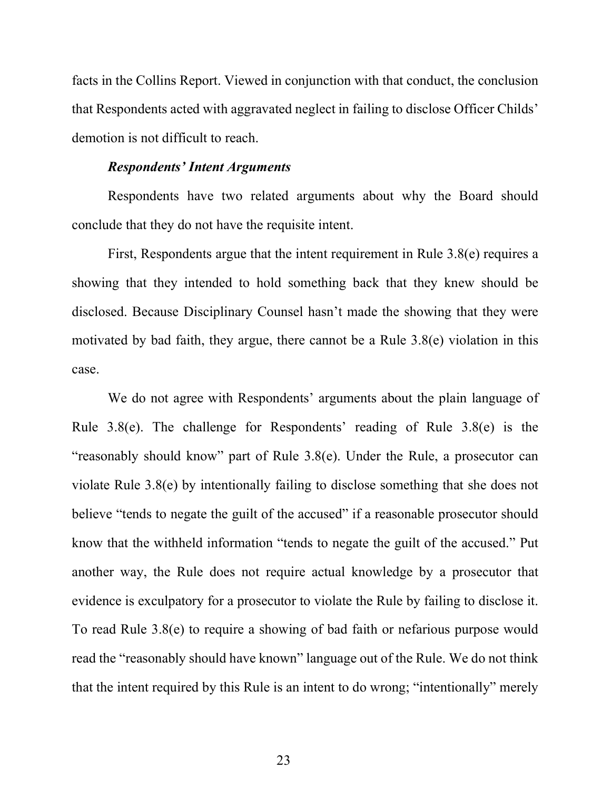facts in the Collins Report. Viewed in conjunction with that conduct, the conclusion that Respondents acted with aggravated neglect in failing to disclose Officer Childs' demotion is not difficult to reach.

#### Respondents' Intent Arguments

Respondents have two related arguments about why the Board should conclude that they do not have the requisite intent.

First, Respondents argue that the intent requirement in Rule 3.8(e) requires a showing that they intended to hold something back that they knew should be disclosed. Because Disciplinary Counsel hasn't made the showing that they were motivated by bad faith, they argue, there cannot be a Rule 3.8(e) violation in this case.

We do not agree with Respondents' arguments about the plain language of Rule 3.8(e). The challenge for Respondents' reading of Rule 3.8(e) is the "reasonably should know" part of Rule 3.8(e). Under the Rule, a prosecutor can violate Rule 3.8(e) by intentionally failing to disclose something that she does not believe "tends to negate the guilt of the accused" if a reasonable prosecutor should know that the withheld information "tends to negate the guilt of the accused." Put another way, the Rule does not require actual knowledge by a prosecutor that evidence is exculpatory for a prosecutor to violate the Rule by failing to disclose it. To read Rule 3.8(e) to require a showing of bad faith or nefarious purpose would read the "reasonably should have known" language out of the Rule. We do not think that the intent required by this Rule is an intent to do wrong; "intentionally" merely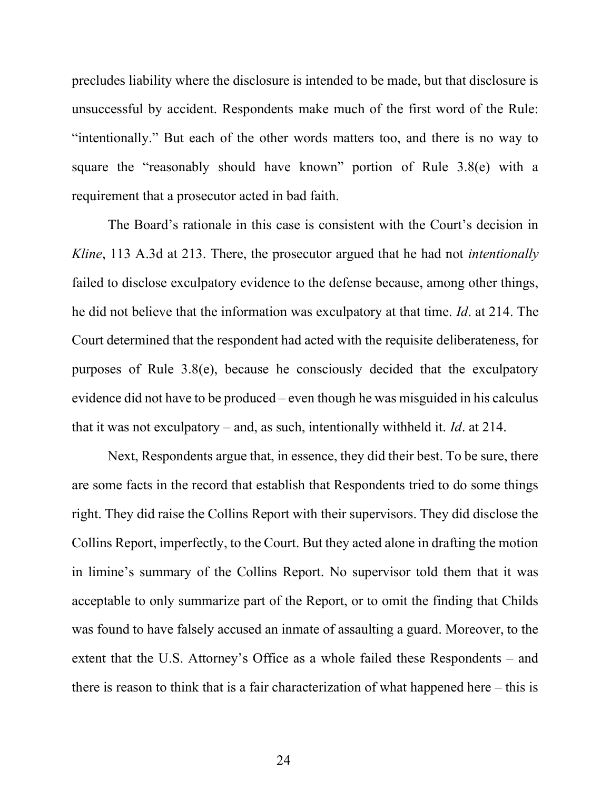precludes liability where the disclosure is intended to be made, but that disclosure is unsuccessful by accident. Respondents make much of the first word of the Rule: "intentionally." But each of the other words matters too, and there is no way to square the "reasonably should have known" portion of Rule 3.8(e) with a requirement that a prosecutor acted in bad faith.

The Board's rationale in this case is consistent with the Court's decision in Kline, 113 A.3d at 213. There, the prosecutor argued that he had not *intentionally* failed to disclose exculpatory evidence to the defense because, among other things, he did not believe that the information was exculpatory at that time. Id. at 214. The Court determined that the respondent had acted with the requisite deliberateness, for purposes of Rule 3.8(e), because he consciously decided that the exculpatory evidence did not have to be produced – even though he was misguided in his calculus that it was not exculpatory – and, as such, intentionally withheld it. Id. at 214.

Next, Respondents argue that, in essence, they did their best. To be sure, there are some facts in the record that establish that Respondents tried to do some things right. They did raise the Collins Report with their supervisors. They did disclose the Collins Report, imperfectly, to the Court. But they acted alone in drafting the motion in limine's summary of the Collins Report. No supervisor told them that it was acceptable to only summarize part of the Report, or to omit the finding that Childs was found to have falsely accused an inmate of assaulting a guard. Moreover, to the extent that the U.S. Attorney's Office as a whole failed these Respondents – and there is reason to think that is a fair characterization of what happened here – this is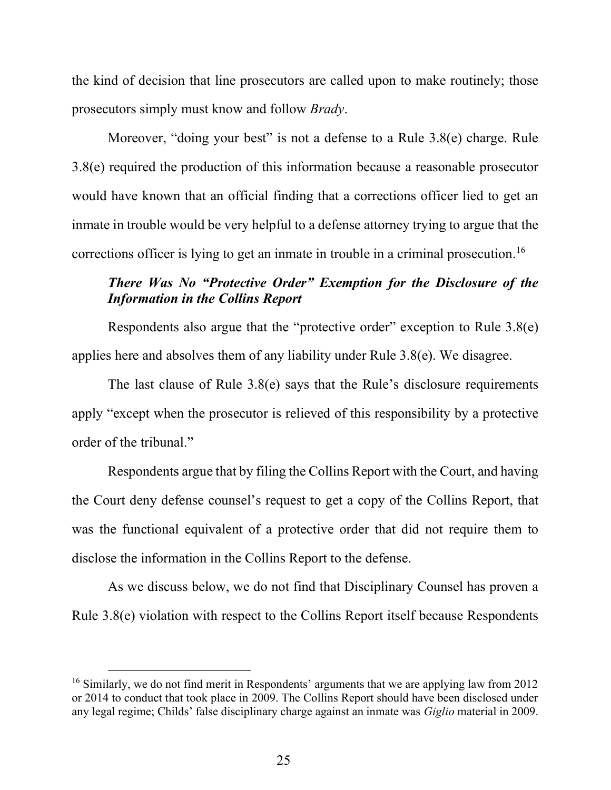the kind of decision that line prosecutors are called upon to make routinely; those prosecutors simply must know and follow Brady.

Moreover, "doing your best" is not a defense to a Rule 3.8(e) charge. Rule 3.8(e) required the production of this information because a reasonable prosecutor would have known that an official finding that a corrections officer lied to get an inmate in trouble would be very helpful to a defense attorney trying to argue that the corrections officer is lying to get an inmate in trouble in a criminal prosecution.<sup>16</sup>

# There Was No "Protective Order" Exemption for the Disclosure of the Information in the Collins Report

 Respondents also argue that the "protective order" exception to Rule 3.8(e) applies here and absolves them of any liability under Rule 3.8(e). We disagree.

 The last clause of Rule 3.8(e) says that the Rule's disclosure requirements apply "except when the prosecutor is relieved of this responsibility by a protective order of the tribunal."

 Respondents argue that by filing the Collins Report with the Court, and having the Court deny defense counsel's request to get a copy of the Collins Report, that was the functional equivalent of a protective order that did not require them to disclose the information in the Collins Report to the defense.

 As we discuss below, we do not find that Disciplinary Counsel has proven a Rule 3.8(e) violation with respect to the Collins Report itself because Respondents

<sup>&</sup>lt;sup>16</sup> Similarly, we do not find merit in Respondents' arguments that we are applying law from 2012 or 2014 to conduct that took place in 2009. The Collins Report should have been disclosed under any legal regime; Childs' false disciplinary charge against an inmate was Giglio material in 2009.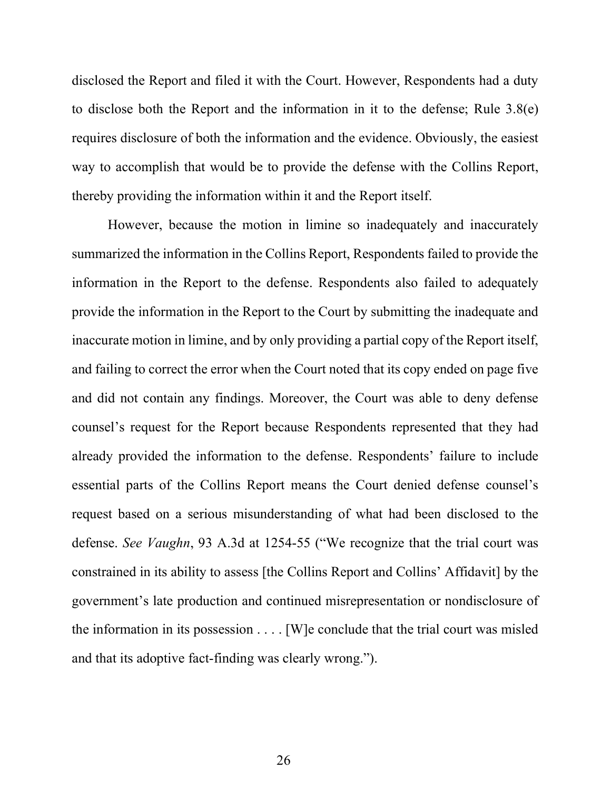disclosed the Report and filed it with the Court. However, Respondents had a duty to disclose both the Report and the information in it to the defense; Rule 3.8(e) requires disclosure of both the information and the evidence. Obviously, the easiest way to accomplish that would be to provide the defense with the Collins Report, thereby providing the information within it and the Report itself.

 However, because the motion in limine so inadequately and inaccurately summarized the information in the Collins Report, Respondents failed to provide the information in the Report to the defense. Respondents also failed to adequately provide the information in the Report to the Court by submitting the inadequate and inaccurate motion in limine, and by only providing a partial copy of the Report itself, and failing to correct the error when the Court noted that its copy ended on page five and did not contain any findings. Moreover, the Court was able to deny defense counsel's request for the Report because Respondents represented that they had already provided the information to the defense. Respondents' failure to include essential parts of the Collins Report means the Court denied defense counsel's request based on a serious misunderstanding of what had been disclosed to the defense. See Vaughn, 93 A.3d at 1254-55 ("We recognize that the trial court was constrained in its ability to assess [the Collins Report and Collins' Affidavit] by the government's late production and continued misrepresentation or nondisclosure of the information in its possession . . . . [W]e conclude that the trial court was misled and that its adoptive fact-finding was clearly wrong.").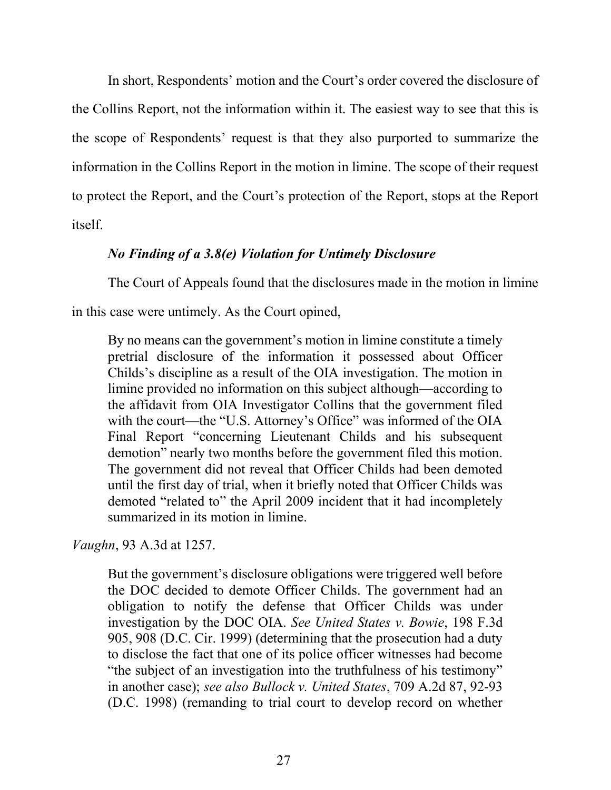In short, Respondents' motion and the Court's order covered the disclosure of the Collins Report, not the information within it. The easiest way to see that this is the scope of Respondents' request is that they also purported to summarize the information in the Collins Report in the motion in limine. The scope of their request to protect the Report, and the Court's protection of the Report, stops at the Report itself.

## No Finding of a 3.8(e) Violation for Untimely Disclosure

The Court of Appeals found that the disclosures made in the motion in limine

in this case were untimely. As the Court opined,

By no means can the government's motion in limine constitute a timely pretrial disclosure of the information it possessed about Officer Childs's discipline as a result of the OIA investigation. The motion in limine provided no information on this subject although—according to the affidavit from OIA Investigator Collins that the government filed with the court—the "U.S. Attorney's Office" was informed of the OIA Final Report "concerning Lieutenant Childs and his subsequent demotion" nearly two months before the government filed this motion. The government did not reveal that Officer Childs had been demoted until the first day of trial, when it briefly noted that Officer Childs was demoted "related to" the April 2009 incident that it had incompletely summarized in its motion in limine.

# Vaughn, 93 A.3d at 1257.

But the government's disclosure obligations were triggered well before the DOC decided to demote Officer Childs. The government had an obligation to notify the defense that Officer Childs was under investigation by the DOC OIA. See United States v. Bowie, 198 F.3d 905, 908 (D.C. Cir. 1999) (determining that the prosecution had a duty to disclose the fact that one of its police officer witnesses had become "the subject of an investigation into the truthfulness of his testimony" in another case); see also Bullock v. United States, 709 A.2d 87, 92-93 (D.C. 1998) (remanding to trial court to develop record on whether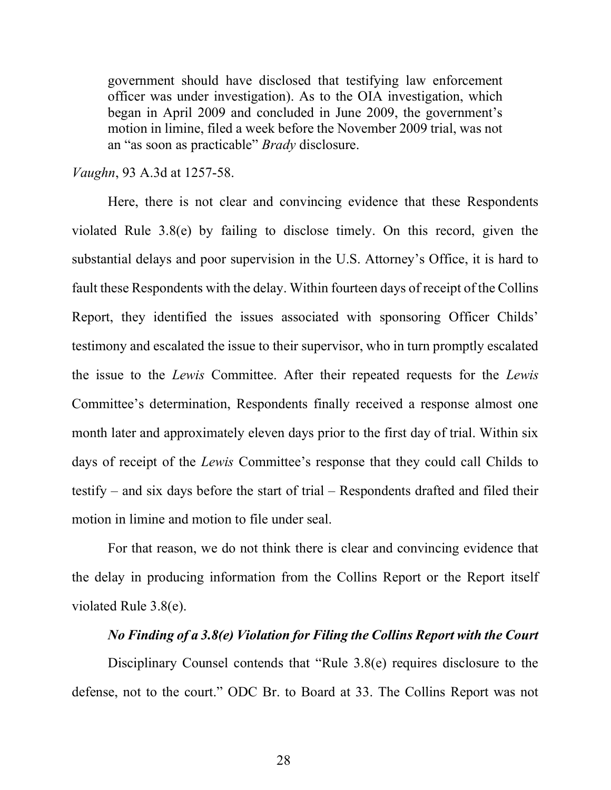government should have disclosed that testifying law enforcement officer was under investigation). As to the OIA investigation, which began in April 2009 and concluded in June 2009, the government's motion in limine, filed a week before the November 2009 trial, was not an "as soon as practicable" Brady disclosure.

Vaughn, 93 A.3d at 1257-58.

 Here, there is not clear and convincing evidence that these Respondents violated Rule 3.8(e) by failing to disclose timely. On this record, given the substantial delays and poor supervision in the U.S. Attorney's Office, it is hard to fault these Respondents with the delay. Within fourteen days of receipt of the Collins Report, they identified the issues associated with sponsoring Officer Childs' testimony and escalated the issue to their supervisor, who in turn promptly escalated the issue to the Lewis Committee. After their repeated requests for the Lewis Committee's determination, Respondents finally received a response almost one month later and approximately eleven days prior to the first day of trial. Within six days of receipt of the Lewis Committee's response that they could call Childs to testify – and six days before the start of trial – Respondents drafted and filed their motion in limine and motion to file under seal.

 For that reason, we do not think there is clear and convincing evidence that the delay in producing information from the Collins Report or the Report itself violated Rule 3.8(e).

## No Finding of a 3.8(e) Violation for Filing the Collins Report with the Court

 Disciplinary Counsel contends that "Rule 3.8(e) requires disclosure to the defense, not to the court." ODC Br. to Board at 33. The Collins Report was not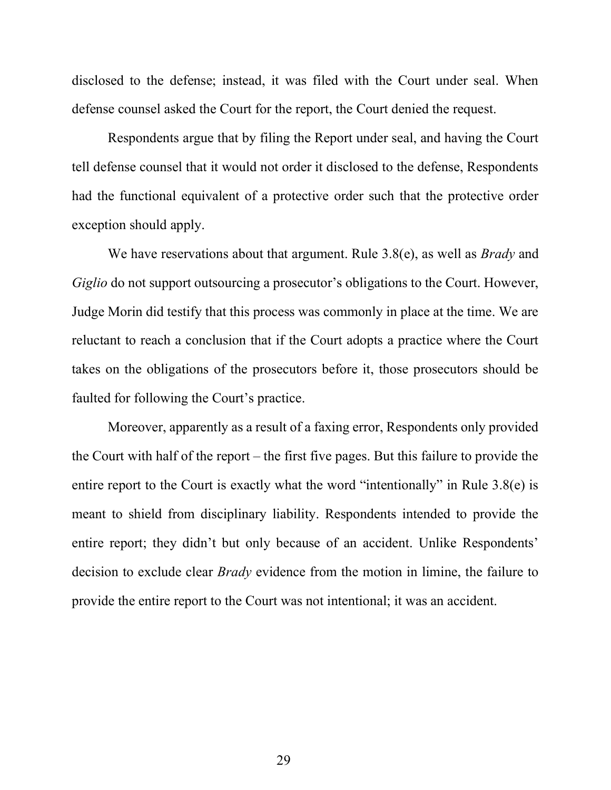disclosed to the defense; instead, it was filed with the Court under seal. When defense counsel asked the Court for the report, the Court denied the request.

 Respondents argue that by filing the Report under seal, and having the Court tell defense counsel that it would not order it disclosed to the defense, Respondents had the functional equivalent of a protective order such that the protective order exception should apply.

We have reservations about that argument. Rule 3.8(e), as well as *Brady* and Giglio do not support outsourcing a prosecutor's obligations to the Court. However, Judge Morin did testify that this process was commonly in place at the time. We are reluctant to reach a conclusion that if the Court adopts a practice where the Court takes on the obligations of the prosecutors before it, those prosecutors should be faulted for following the Court's practice.

 Moreover, apparently as a result of a faxing error, Respondents only provided the Court with half of the report – the first five pages. But this failure to provide the entire report to the Court is exactly what the word "intentionally" in Rule 3.8(e) is meant to shield from disciplinary liability. Respondents intended to provide the entire report; they didn't but only because of an accident. Unlike Respondents' decision to exclude clear *Brady* evidence from the motion in limine, the failure to provide the entire report to the Court was not intentional; it was an accident.

29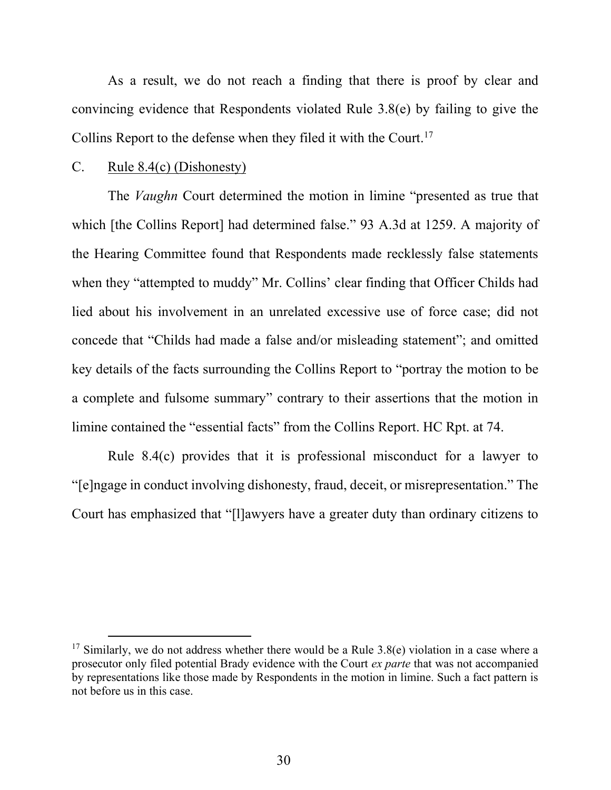As a result, we do not reach a finding that there is proof by clear and convincing evidence that Respondents violated Rule 3.8(e) by failing to give the Collins Report to the defense when they filed it with the Court.<sup>17</sup>

#### C. Rule 8.4(c) (Dishonesty)

The *Vaughn* Court determined the motion in limine "presented as true that which [the Collins Report] had determined false." 93 A.3d at 1259. A majority of the Hearing Committee found that Respondents made recklessly false statements when they "attempted to muddy" Mr. Collins' clear finding that Officer Childs had lied about his involvement in an unrelated excessive use of force case; did not concede that "Childs had made a false and/or misleading statement"; and omitted key details of the facts surrounding the Collins Report to "portray the motion to be a complete and fulsome summary" contrary to their assertions that the motion in limine contained the "essential facts" from the Collins Report. HC Rpt. at 74.

 Rule 8.4(c) provides that it is professional misconduct for a lawyer to "[e]ngage in conduct involving dishonesty, fraud, deceit, or misrepresentation." The Court has emphasized that "[l]awyers have a greater duty than ordinary citizens to

<sup>&</sup>lt;sup>17</sup> Similarly, we do not address whether there would be a Rule 3.8(e) violation in a case where a prosecutor only filed potential Brady evidence with the Court ex parte that was not accompanied by representations like those made by Respondents in the motion in limine. Such a fact pattern is not before us in this case.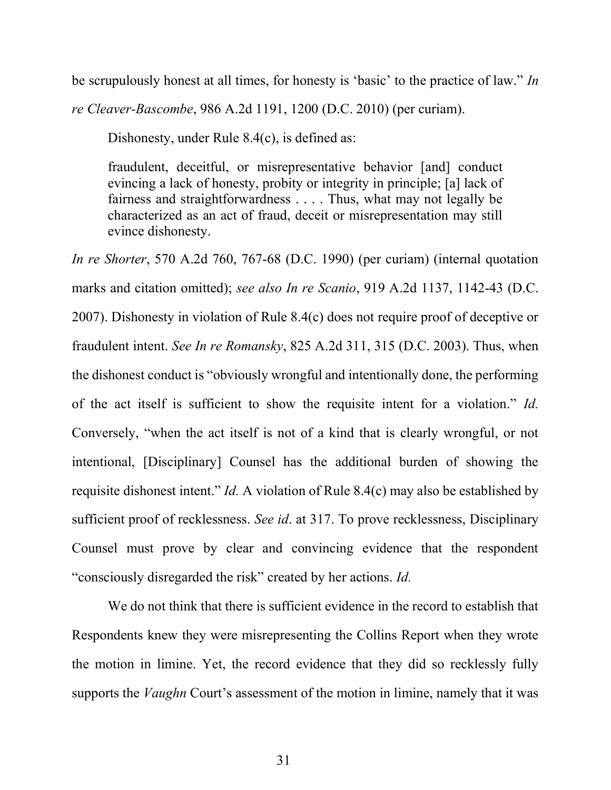be scrupulously honest at all times, for honesty is 'basic' to the practice of law." In re Cleaver-Bascombe, 986 A.2d 1191, 1200 (D.C. 2010) (per curiam).

Dishonesty, under Rule 8.4(c), is defined as:

fraudulent, deceitful, or misrepresentative behavior [and] conduct evincing a lack of honesty, probity or integrity in principle; [a] lack of fairness and straightforwardness . . . . Thus, what may not legally be characterized as an act of fraud, deceit or misrepresentation may still evince dishonesty.

In re Shorter, 570 A.2d 760, 767-68 (D.C. 1990) (per curiam) (internal quotation marks and citation omitted); see also In re Scanio, 919 A.2d 1137, 1142-43 (D.C. 2007). Dishonesty in violation of Rule 8.4(c) does not require proof of deceptive or fraudulent intent. See In re Romansky, 825 A.2d 311, 315 (D.C. 2003). Thus, when the dishonest conduct is "obviously wrongful and intentionally done, the performing of the act itself is sufficient to show the requisite intent for a violation." Id. Conversely, "when the act itself is not of a kind that is clearly wrongful, or not intentional, [Disciplinary] Counsel has the additional burden of showing the requisite dishonest intent." Id. A violation of Rule 8.4(c) may also be established by sufficient proof of recklessness. See id. at 317. To prove recklessness, Disciplinary Counsel must prove by clear and convincing evidence that the respondent "consciously disregarded the risk" created by her actions. *Id.* 

We do not think that there is sufficient evidence in the record to establish that Respondents knew they were misrepresenting the Collins Report when they wrote the motion in limine. Yet, the record evidence that they did so recklessly fully supports the *Vaughn* Court's assessment of the motion in limine, namely that it was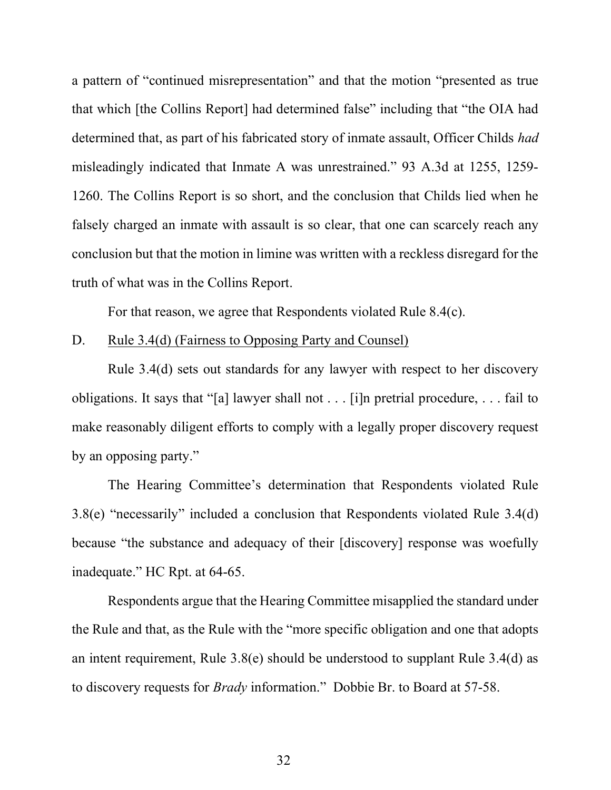a pattern of "continued misrepresentation" and that the motion "presented as true that which [the Collins Report] had determined false" including that "the OIA had determined that, as part of his fabricated story of inmate assault, Officer Childs had misleadingly indicated that Inmate A was unrestrained." 93 A.3d at 1255, 1259- 1260. The Collins Report is so short, and the conclusion that Childs lied when he falsely charged an inmate with assault is so clear, that one can scarcely reach any conclusion but that the motion in limine was written with a reckless disregard for the truth of what was in the Collins Report.

For that reason, we agree that Respondents violated Rule 8.4(c).

#### D. Rule 3.4(d) (Fairness to Opposing Party and Counsel)

 Rule 3.4(d) sets out standards for any lawyer with respect to her discovery obligations. It says that "[a] lawyer shall not . . . [i]n pretrial procedure, . . . fail to make reasonably diligent efforts to comply with a legally proper discovery request by an opposing party."

The Hearing Committee's determination that Respondents violated Rule 3.8(e) "necessarily" included a conclusion that Respondents violated Rule 3.4(d) because "the substance and adequacy of their [discovery] response was woefully inadequate." HC Rpt. at 64-65.

Respondents argue that the Hearing Committee misapplied the standard under the Rule and that, as the Rule with the "more specific obligation and one that adopts an intent requirement, Rule 3.8(e) should be understood to supplant Rule 3.4(d) as to discovery requests for Brady information." Dobbie Br. to Board at 57-58.

32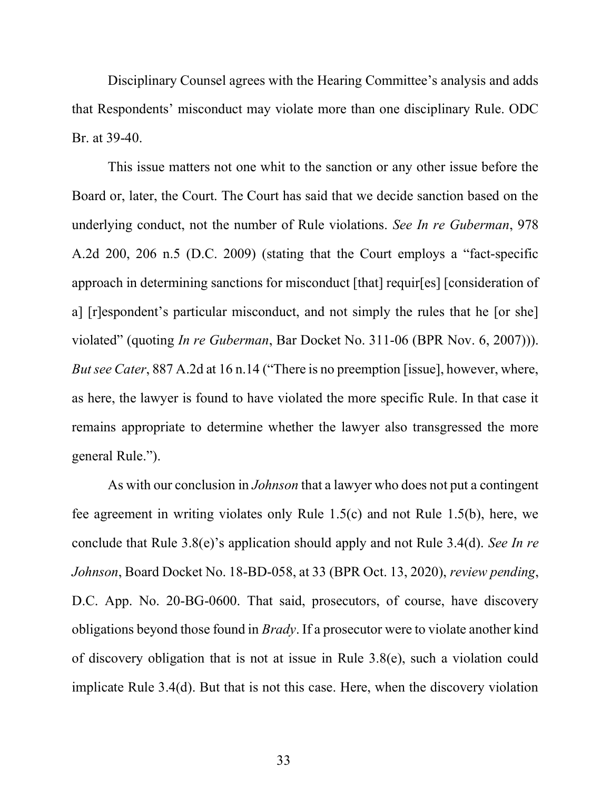Disciplinary Counsel agrees with the Hearing Committee's analysis and adds that Respondents' misconduct may violate more than one disciplinary Rule. ODC Br. at 39-40.

 This issue matters not one whit to the sanction or any other issue before the Board or, later, the Court. The Court has said that we decide sanction based on the underlying conduct, not the number of Rule violations. See In re Guberman, 978 A.2d 200, 206 n.5 (D.C. 2009) (stating that the Court employs a "fact-specific approach in determining sanctions for misconduct [that] requir[es] [consideration of a] [r]espondent's particular misconduct, and not simply the rules that he [or she] violated" (quoting In re Guberman, Bar Docket No. 311-06 (BPR Nov. 6, 2007))). But see Cater, 887 A.2d at 16 n.14 ("There is no preemption [issue], however, where, as here, the lawyer is found to have violated the more specific Rule. In that case it remains appropriate to determine whether the lawyer also transgressed the more general Rule.").

As with our conclusion in *Johnson* that a lawyer who does not put a contingent fee agreement in writing violates only Rule 1.5(c) and not Rule 1.5(b), here, we conclude that Rule 3.8(e)'s application should apply and not Rule 3.4(d). See In re Johnson, Board Docket No. 18-BD-058, at 33 (BPR Oct. 13, 2020), review pending, D.C. App. No. 20-BG-0600. That said, prosecutors, of course, have discovery obligations beyond those found in *Brady*. If a prosecutor were to violate another kind of discovery obligation that is not at issue in Rule 3.8(e), such a violation could implicate Rule 3.4(d). But that is not this case. Here, when the discovery violation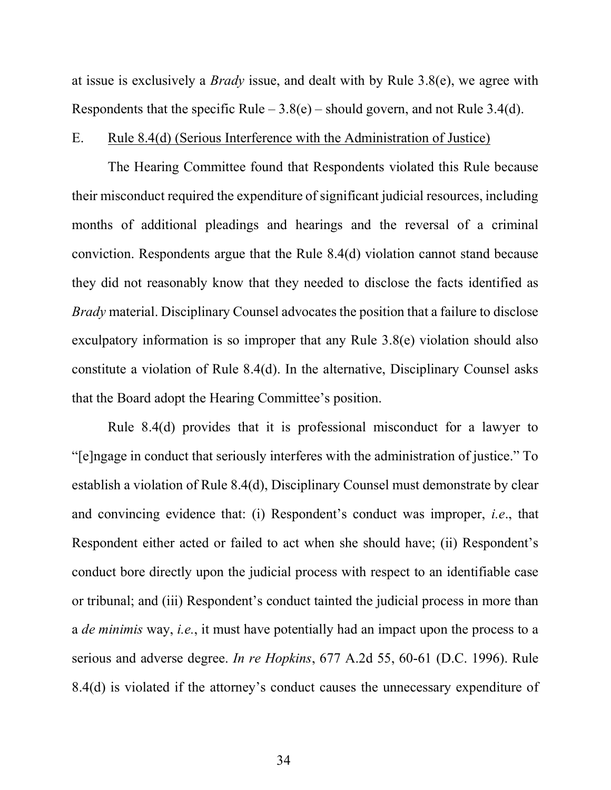at issue is exclusively a Brady issue, and dealt with by Rule 3.8(e), we agree with Respondents that the specific Rule  $-3.8(e)$  – should govern, and not Rule 3.4(d).

#### E. Rule 8.4(d) (Serious Interference with the Administration of Justice)

The Hearing Committee found that Respondents violated this Rule because their misconduct required the expenditure of significant judicial resources, including months of additional pleadings and hearings and the reversal of a criminal conviction. Respondents argue that the Rule 8.4(d) violation cannot stand because they did not reasonably know that they needed to disclose the facts identified as *Brady* material. Disciplinary Counsel advocates the position that a failure to disclose exculpatory information is so improper that any Rule 3.8(e) violation should also constitute a violation of Rule 8.4(d). In the alternative, Disciplinary Counsel asks that the Board adopt the Hearing Committee's position.

Rule 8.4(d) provides that it is professional misconduct for a lawyer to "[e]ngage in conduct that seriously interferes with the administration of justice." To establish a violation of Rule 8.4(d), Disciplinary Counsel must demonstrate by clear and convincing evidence that: (i) Respondent's conduct was improper, i.e., that Respondent either acted or failed to act when she should have; (ii) Respondent's conduct bore directly upon the judicial process with respect to an identifiable case or tribunal; and (iii) Respondent's conduct tainted the judicial process in more than a *de minimis* way, *i.e.*, it must have potentially had an impact upon the process to a serious and adverse degree. In re Hopkins, 677 A.2d 55, 60-61 (D.C. 1996). Rule 8.4(d) is violated if the attorney's conduct causes the unnecessary expenditure of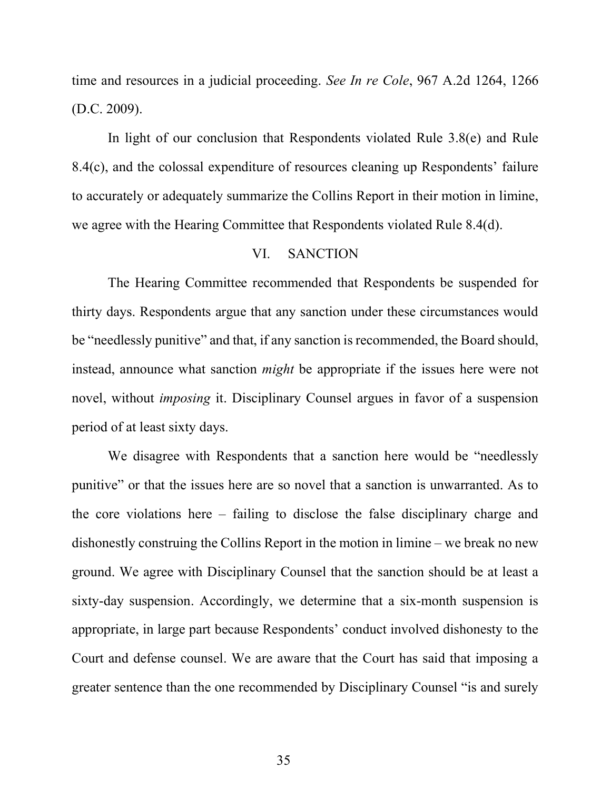time and resources in a judicial proceeding. See In re Cole, 967 A.2d 1264, 1266 (D.C. 2009).

In light of our conclusion that Respondents violated Rule 3.8(e) and Rule 8.4(c), and the colossal expenditure of resources cleaning up Respondents' failure to accurately or adequately summarize the Collins Report in their motion in limine, we agree with the Hearing Committee that Respondents violated Rule 8.4(d).

## VI. SANCTION

 The Hearing Committee recommended that Respondents be suspended for thirty days. Respondents argue that any sanction under these circumstances would be "needlessly punitive" and that, if any sanction is recommended, the Board should, instead, announce what sanction might be appropriate if the issues here were not novel, without imposing it. Disciplinary Counsel argues in favor of a suspension period of at least sixty days.

 We disagree with Respondents that a sanction here would be "needlessly punitive" or that the issues here are so novel that a sanction is unwarranted. As to the core violations here – failing to disclose the false disciplinary charge and dishonestly construing the Collins Report in the motion in limine – we break no new ground. We agree with Disciplinary Counsel that the sanction should be at least a sixty-day suspension. Accordingly, we determine that a six-month suspension is appropriate, in large part because Respondents' conduct involved dishonesty to the Court and defense counsel. We are aware that the Court has said that imposing a greater sentence than the one recommended by Disciplinary Counsel "is and surely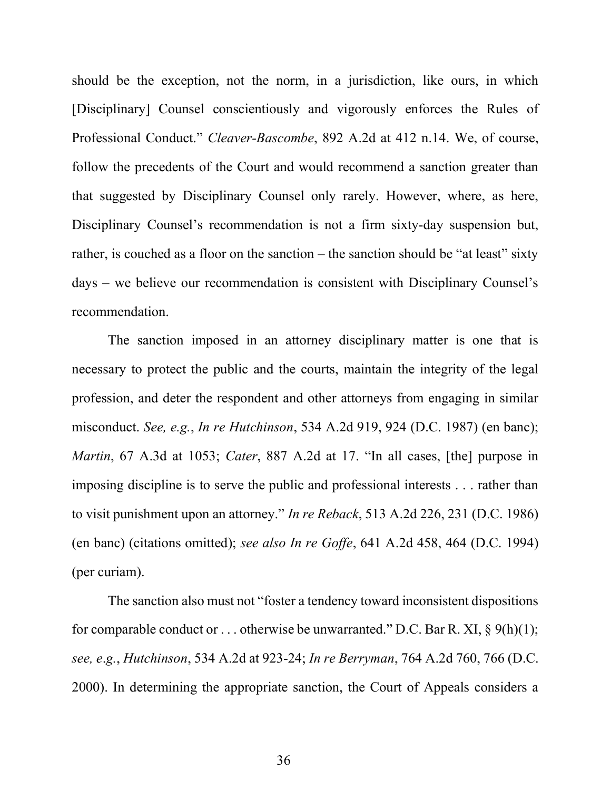should be the exception, not the norm, in a jurisdiction, like ours, in which [Disciplinary] Counsel conscientiously and vigorously enforces the Rules of Professional Conduct." Cleaver-Bascombe, 892 A.2d at 412 n.14. We, of course, follow the precedents of the Court and would recommend a sanction greater than that suggested by Disciplinary Counsel only rarely. However, where, as here, Disciplinary Counsel's recommendation is not a firm sixty-day suspension but, rather, is couched as a floor on the sanction – the sanction should be "at least" sixty days – we believe our recommendation is consistent with Disciplinary Counsel's recommendation.

The sanction imposed in an attorney disciplinary matter is one that is necessary to protect the public and the courts, maintain the integrity of the legal profession, and deter the respondent and other attorneys from engaging in similar misconduct. See, e.g., In re Hutchinson, 534 A.2d 919, 924 (D.C. 1987) (en banc); Martin, 67 A.3d at 1053; Cater, 887 A.2d at 17. "In all cases, [the] purpose in imposing discipline is to serve the public and professional interests . . . rather than to visit punishment upon an attorney." In re Reback, 513 A.2d 226, 231 (D.C. 1986) (en banc) (citations omitted); see also In re Goffe, 641 A.2d 458, 464 (D.C. 1994) (per curiam).

The sanction also must not "foster a tendency toward inconsistent dispositions for comparable conduct or ... otherwise be unwarranted." D.C. Bar R. XI,  $\S$  9(h)(1); see, e.g., Hutchinson, 534 A.2d at 923-24; In re Berryman, 764 A.2d 760, 766 (D.C. 2000). In determining the appropriate sanction, the Court of Appeals considers a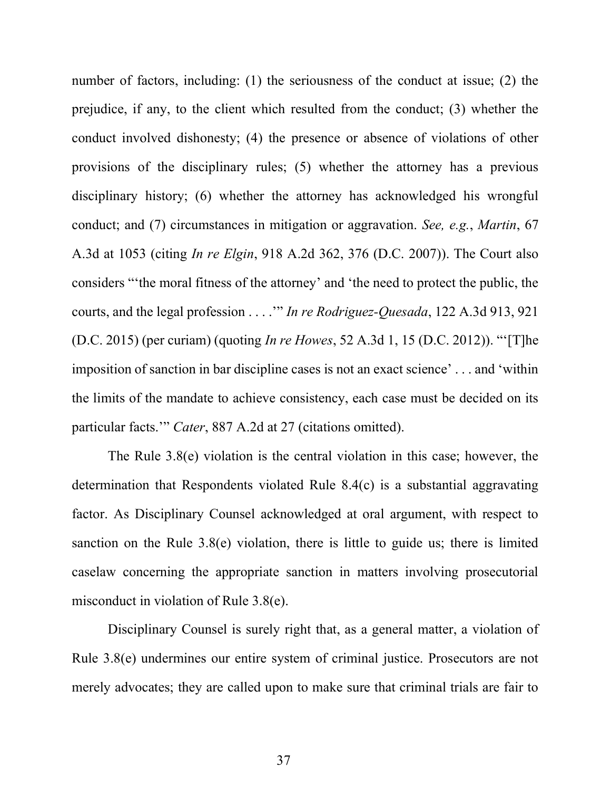number of factors, including: (1) the seriousness of the conduct at issue; (2) the prejudice, if any, to the client which resulted from the conduct; (3) whether the conduct involved dishonesty; (4) the presence or absence of violations of other provisions of the disciplinary rules; (5) whether the attorney has a previous disciplinary history; (6) whether the attorney has acknowledged his wrongful conduct; and (7) circumstances in mitigation or aggravation. See, e.g., Martin, 67 A.3d at 1053 (citing In re Elgin, 918 A.2d 362, 376 (D.C. 2007)). The Court also considers "'the moral fitness of the attorney' and 'the need to protect the public, the courts, and the legal profession . . . .'" In re Rodriguez-Quesada, 122 A.3d 913, 921 (D.C. 2015) (per curiam) (quoting In re Howes, 52 A.3d 1, 15 (D.C. 2012)). "'[T]he imposition of sanction in bar discipline cases is not an exact science' . . . and 'within the limits of the mandate to achieve consistency, each case must be decided on its particular facts." Cater, 887 A.2d at 27 (citations omitted).

The Rule 3.8(e) violation is the central violation in this case; however, the determination that Respondents violated Rule 8.4(c) is a substantial aggravating factor. As Disciplinary Counsel acknowledged at oral argument, with respect to sanction on the Rule 3.8(e) violation, there is little to guide us; there is limited caselaw concerning the appropriate sanction in matters involving prosecutorial misconduct in violation of Rule 3.8(e).

Disciplinary Counsel is surely right that, as a general matter, a violation of Rule 3.8(e) undermines our entire system of criminal justice. Prosecutors are not merely advocates; they are called upon to make sure that criminal trials are fair to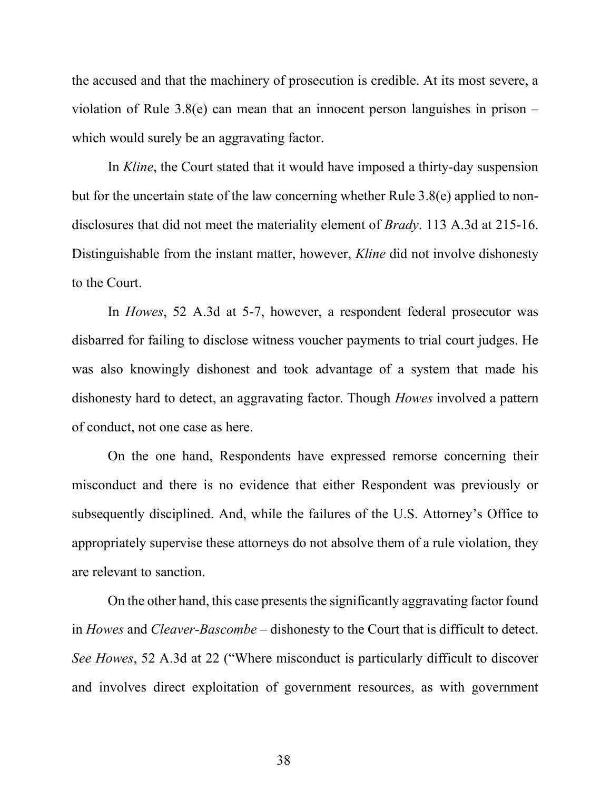the accused and that the machinery of prosecution is credible. At its most severe, a violation of Rule 3.8(e) can mean that an innocent person languishes in prison – which would surely be an aggravating factor.

In Kline, the Court stated that it would have imposed a thirty-day suspension but for the uncertain state of the law concerning whether Rule 3.8(e) applied to nondisclosures that did not meet the materiality element of *Brady*. 113 A.3d at 215-16. Distinguishable from the instant matter, however, *Kline* did not involve dishonesty to the Court.

In Howes, 52 A.3d at 5-7, however, a respondent federal prosecutor was disbarred for failing to disclose witness voucher payments to trial court judges. He was also knowingly dishonest and took advantage of a system that made his dishonesty hard to detect, an aggravating factor. Though *Howes* involved a pattern of conduct, not one case as here.

On the one hand, Respondents have expressed remorse concerning their misconduct and there is no evidence that either Respondent was previously or subsequently disciplined. And, while the failures of the U.S. Attorney's Office to appropriately supervise these attorneys do not absolve them of a rule violation, they are relevant to sanction.

On the other hand, this case presents the significantly aggravating factor found in Howes and Cleaver-Bascombe – dishonesty to the Court that is difficult to detect. See Howes, 52 A.3d at 22 ("Where misconduct is particularly difficult to discover and involves direct exploitation of government resources, as with government

38